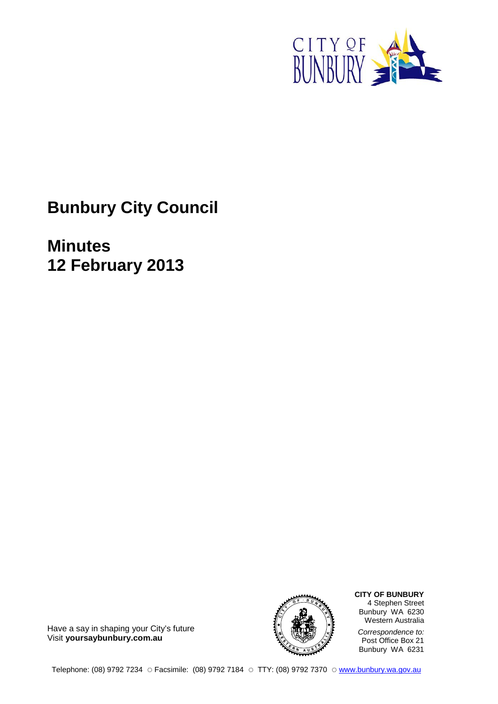

**Bunbury City Council**

**Minutes 12 February 2013**



**CITY OF BUNBURY** 4 Stephen Street Bunbury WA 6230 Western Australia *Correspondence to:* Post Office Box 21 Bunbury WA 6231

Have a say in shaping your City's future Visit **yoursaybunbury.com.au**

Telephone: (08) 9792 7234 ☉ Facsimile: (08) 9792 7184 ☉ TTY: (08) 9792 7370 ☉ [www.bunbury.wa.gov.au](http://mydocs/sites/cp/Templates/Council%20Agendas%20and%20Minutes%20Templates/www.bunbury.wa.gov.au)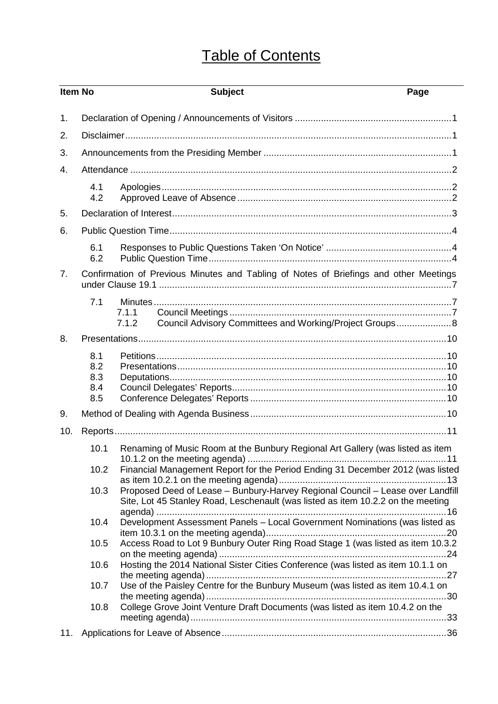# Table of Contents

| <b>Item No</b> |                                 | <b>Subject</b>                                                                                                                                                                                                                                     | Page |
|----------------|---------------------------------|----------------------------------------------------------------------------------------------------------------------------------------------------------------------------------------------------------------------------------------------------|------|
| 1.             |                                 |                                                                                                                                                                                                                                                    |      |
| 2.             |                                 |                                                                                                                                                                                                                                                    |      |
| 3.             |                                 |                                                                                                                                                                                                                                                    |      |
| 4.             |                                 |                                                                                                                                                                                                                                                    |      |
|                |                                 |                                                                                                                                                                                                                                                    |      |
|                | 4.1<br>4.2                      |                                                                                                                                                                                                                                                    |      |
| 5.             |                                 |                                                                                                                                                                                                                                                    |      |
| 6.             |                                 |                                                                                                                                                                                                                                                    |      |
|                | 6.1<br>6.2                      |                                                                                                                                                                                                                                                    |      |
| 7 <sub>1</sub> |                                 | Confirmation of Previous Minutes and Tabling of Notes of Briefings and other Meetings                                                                                                                                                              |      |
|                | 7.1                             |                                                                                                                                                                                                                                                    |      |
|                |                                 | 7.1.1                                                                                                                                                                                                                                              |      |
|                |                                 | Council Advisory Committees and Working/Project Groups 8<br>7.1.2                                                                                                                                                                                  |      |
| 8.             |                                 |                                                                                                                                                                                                                                                    |      |
|                | 8.1<br>8.2<br>8.3<br>8.4<br>8.5 |                                                                                                                                                                                                                                                    |      |
| 9.             |                                 |                                                                                                                                                                                                                                                    |      |
| 10.            |                                 |                                                                                                                                                                                                                                                    |      |
|                | 10.1                            |                                                                                                                                                                                                                                                    |      |
|                | 10.2<br>10.3                    | Renaming of Music Room at the Bunbury Regional Art Gallery (was listed as item<br>Financial Management Report for the Period Ending 31 December 2012 (was listed<br>Proposed Deed of Lease - Bunbury-Harvey Regional Council - Lease over Landfill |      |
|                | 10.4                            | Site, Lot 45 Stanley Road, Leschenault (was listed as item 10.2.2 on the meeting<br>Development Assessment Panels - Local Government Nominations (was listed as                                                                                    |      |
|                | 10.5                            | Access Road to Lot 9 Bunbury Outer Ring Road Stage 1 (was listed as item 10.3.2                                                                                                                                                                    |      |
|                | 10.6                            | Hosting the 2014 National Sister Cities Conference (was listed as item 10.1.1 on                                                                                                                                                                   |      |
|                | 10.7                            | Use of the Paisley Centre for the Bunbury Museum (was listed as item 10.4.1 on                                                                                                                                                                     |      |
|                | 10.8                            | College Grove Joint Venture Draft Documents (was listed as item 10.4.2 on the                                                                                                                                                                      |      |
| 11.            |                                 |                                                                                                                                                                                                                                                    |      |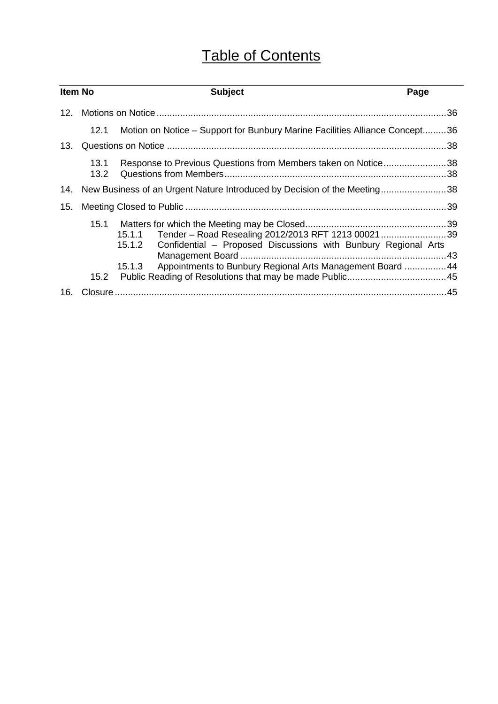# Table of Contents

| <b>Item No</b> |              | <b>Subject</b>                                                                                                                                                                                                | Page |
|----------------|--------------|---------------------------------------------------------------------------------------------------------------------------------------------------------------------------------------------------------------|------|
| 12.            |              |                                                                                                                                                                                                               |      |
|                | 12.1         | Motion on Notice – Support for Bunbury Marine Facilities Alliance Concept36                                                                                                                                   |      |
| 13.            |              |                                                                                                                                                                                                               |      |
|                | 13.1<br>13.2 | Response to Previous Questions from Members taken on Notice38                                                                                                                                                 |      |
| 14.            |              | New Business of an Urgent Nature Introduced by Decision of the Meeting38                                                                                                                                      |      |
| 15.            |              |                                                                                                                                                                                                               |      |
|                | 15.1<br>15.2 | 15.1.1 Tender - Road Resealing 2012/2013 RFT 1213 0002139<br>Confidential - Proposed Discussions with Bunbury Regional Arts<br>15.1.2<br>Appointments to Bunbury Regional Arts Management Board  44<br>15.1.3 |      |
| 16.            |              |                                                                                                                                                                                                               |      |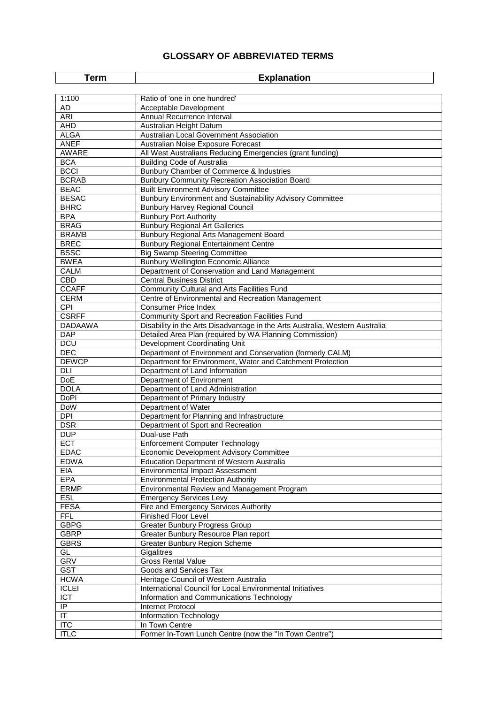### **GLOSSARY OF ABBREVIATED TERMS**

| <b>Explanation</b><br>Term |                                                                               |
|----------------------------|-------------------------------------------------------------------------------|
|                            |                                                                               |
| 1:100                      | Ratio of 'one in one hundred'                                                 |
| AD                         | Acceptable Development                                                        |
| ARI                        | Annual Recurrence Interval                                                    |
| <b>AHD</b>                 | Australian Height Datum                                                       |
| <b>ALGA</b>                | Australian Local Government Association                                       |
| <b>ANEF</b>                | Australian Noise Exposure Forecast                                            |
| AWARE                      | All West Australians Reducing Emergencies (grant funding)                     |
| <b>BCA</b><br><b>BCCI</b>  | <b>Building Code of Australia</b><br>Bunbury Chamber of Commerce & Industries |
| <b>BCRAB</b>               | <b>Bunbury Community Recreation Association Board</b>                         |
| <b>BEAC</b>                | <b>Built Environment Advisory Committee</b>                                   |
| <b>BESAC</b>               | Bunbury Environment and Sustainability Advisory Committee                     |
| <b>BHRC</b>                | <b>Bunbury Harvey Regional Council</b>                                        |
| <b>BPA</b>                 | <b>Bunbury Port Authority</b>                                                 |
| <b>BRAG</b>                | <b>Bunbury Regional Art Galleries</b>                                         |
| <b>BRAMB</b>               | Bunbury Regional Arts Management Board                                        |
| <b>BREC</b>                | <b>Bunbury Regional Entertainment Centre</b>                                  |
| <b>BSSC</b>                | <b>Big Swamp Steering Committee</b>                                           |
| <b>BWEA</b>                | <b>Bunbury Wellington Economic Alliance</b>                                   |
| <b>CALM</b>                | Department of Conservation and Land Management                                |
| <b>CBD</b>                 | <b>Central Business District</b>                                              |
| <b>CCAFF</b>               | <b>Community Cultural and Arts Facilities Fund</b>                            |
| <b>CERM</b>                | Centre of Environmental and Recreation Management                             |
| CPI                        | <b>Consumer Price Index</b>                                                   |
| <b>CSRFF</b>               | <b>Community Sport and Recreation Facilities Fund</b>                         |
| DADAAWA                    | Disability in the Arts Disadvantage in the Arts Australia, Western Australia  |
| <b>DAP</b>                 | Detailed Area Plan (required by WA Planning Commission)                       |
| <b>DCU</b>                 | Development Coordinating Unit                                                 |
| DEC                        | Department of Environment and Conservation (formerly CALM)                    |
| <b>DEWCP</b>               | Department for Environment, Water and Catchment Protection                    |
| DLI                        | Department of Land Information                                                |
| <b>DoE</b>                 | Department of Environment                                                     |
| <b>DOLA</b><br>DoPl        | Department of Land Administration                                             |
| <b>DoW</b>                 | Department of Primary Industry<br>Department of Water                         |
| DPI                        | Department for Planning and Infrastructure                                    |
| <b>DSR</b>                 | Department of Sport and Recreation                                            |
| <b>DUP</b>                 | Dual-use Path                                                                 |
| <b>ECT</b>                 | <b>Enforcement Computer Technology</b>                                        |
| <b>EDAC</b>                | Economic Development Advisory Committee                                       |
| <b>EDWA</b>                | <b>Education Department of Western Australia</b>                              |
| EIA                        | <b>Environmental Impact Assessment</b>                                        |
| <b>EPA</b>                 | <b>Environmental Protection Authority</b>                                     |
| <b>ERMP</b>                | Environmental Review and Management Program                                   |
| <b>ESL</b>                 | <b>Emergency Services Levy</b>                                                |
| <b>FESA</b>                | Fire and Emergency Services Authority                                         |
| <b>FFL</b>                 | <b>Finished Floor Level</b>                                                   |
| <b>GBPG</b>                | <b>Greater Bunbury Progress Group</b>                                         |
| <b>GBRP</b>                | Greater Bunbury Resource Plan report                                          |
| <b>GBRS</b>                | Greater Bunbury Region Scheme                                                 |
| GL                         | Gigalitres                                                                    |
| <b>GRV</b>                 | <b>Gross Rental Value</b>                                                     |
| <b>GST</b>                 | Goods and Services Tax                                                        |
| <b>HCWA</b>                | Heritage Council of Western Australia                                         |
| <b>ICLEI</b>               | International Council for Local Environmental Initiatives                     |
| <b>ICT</b>                 | Information and Communications Technology                                     |
| IP                         | Internet Protocol                                                             |
| $\overline{\mathsf{T}}$    | Information Technology                                                        |
| <b>ITC</b>                 | In Town Centre                                                                |
| <b>ITLC</b>                | Former In-Town Lunch Centre (now the "In Town Centre")                        |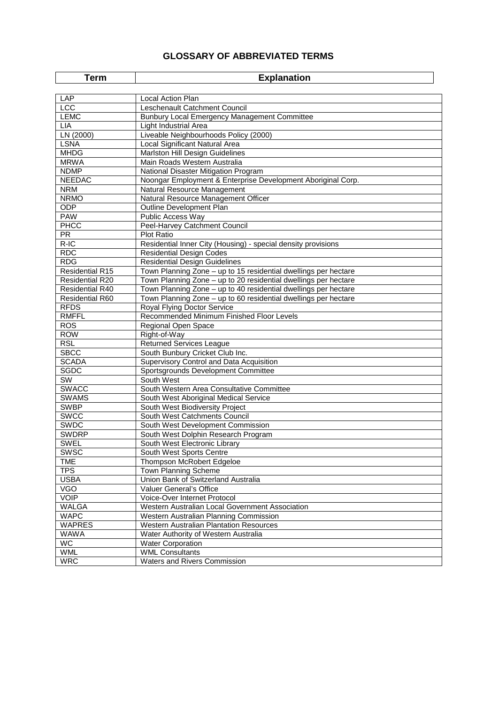### **GLOSSARY OF ABBREVIATED TERMS**

| <b>Explanation</b><br>Term |                                                                 |  |
|----------------------------|-----------------------------------------------------------------|--|
|                            |                                                                 |  |
| LAP                        | <b>Local Action Plan</b>                                        |  |
| <b>LCC</b>                 | Leschenault Catchment Council                                   |  |
| <b>LEMC</b>                | Bunbury Local Emergency Management Committee                    |  |
| <b>LIA</b>                 | Light Industrial Area                                           |  |
| LN (2000)                  | Liveable Neighbourhoods Policy (2000)                           |  |
| <b>LSNA</b>                | Local Significant Natural Area                                  |  |
| <b>MHDG</b>                | Marlston Hill Design Guidelines                                 |  |
| <b>MRWA</b>                | Main Roads Western Australia                                    |  |
| <b>NDMP</b>                | National Disaster Mitigation Program                            |  |
| <b>NEEDAC</b>              | Noongar Employment & Enterprise Development Aboriginal Corp.    |  |
| <b>NRM</b>                 | Natural Resource Management                                     |  |
| <b>NRMO</b>                | Natural Resource Management Officer                             |  |
| ODP                        | Outline Development Plan                                        |  |
| <b>PAW</b>                 | Public Access Way                                               |  |
| PHCC                       | Peel-Harvey Catchment Council                                   |  |
| <b>PR</b>                  | <b>Plot Ratio</b>                                               |  |
| $R-IC$                     | Residential Inner City (Housing) - special density provisions   |  |
| <b>RDC</b>                 | <b>Residential Design Codes</b>                                 |  |
| <b>RDG</b>                 | <b>Residential Design Guidelines</b>                            |  |
| <b>Residential R15</b>     | Town Planning Zone - up to 15 residential dwellings per hectare |  |
| <b>Residential R20</b>     | Town Planning Zone - up to 20 residential dwellings per hectare |  |
| <b>Residential R40</b>     | Town Planning Zone - up to 40 residential dwellings per hectare |  |
| Residential R60            | Town Planning Zone - up to 60 residential dwellings per hectare |  |
| <b>RFDS</b>                | <b>Royal Flying Doctor Service</b>                              |  |
| <b>RMFFL</b>               | Recommended Minimum Finished Floor Levels                       |  |
| <b>ROS</b>                 | Regional Open Space                                             |  |
| <b>ROW</b>                 | Right-of-Way                                                    |  |
| <b>RSL</b>                 | <b>Returned Services League</b>                                 |  |
| <b>SBCC</b>                | South Bunbury Cricket Club Inc.                                 |  |
| <b>SCADA</b>               | Supervisory Control and Data Acquisition                        |  |
| <b>SGDC</b>                | Sportsgrounds Development Committee                             |  |
| SW                         | South West                                                      |  |
| <b>SWACC</b>               | South Western Area Consultative Committee                       |  |
| <b>SWAMS</b>               | South West Aboriginal Medical Service                           |  |
| <b>SWBP</b>                | South West Biodiversity Project                                 |  |
| <b>SWCC</b>                | South West Catchments Council                                   |  |
| SWDC                       | South West Development Commission                               |  |
| <b>SWDRP</b>               | South West Dolphin Research Program                             |  |
| <b>SWEL</b>                | South West Electronic Library                                   |  |
| <b>SWSC</b>                | South West Sports Centre                                        |  |
| <b>TME</b>                 | Thompson McRobert Edgeloe                                       |  |
| <b>TPS</b>                 | Town Planning Scheme                                            |  |
| <b>USBA</b>                | Union Bank of Switzerland Australia                             |  |
| <b>VGO</b>                 | Valuer General's Office                                         |  |
| <b>VOIP</b>                | Voice-Over Internet Protocol                                    |  |
| <b>WALGA</b>               | Western Australian Local Government Association                 |  |
| <b>WAPC</b>                | Western Australian Planning Commission                          |  |
| <b>WAPRES</b>              | Western Australian Plantation Resources                         |  |
| <b>WAWA</b>                | Water Authority of Western Australia                            |  |
| <b>WC</b>                  |                                                                 |  |
| <b>WML</b>                 | <b>Water Corporation</b><br><b>WML Consultants</b>              |  |
|                            |                                                                 |  |
| <b>WRC</b>                 | Waters and Rivers Commission                                    |  |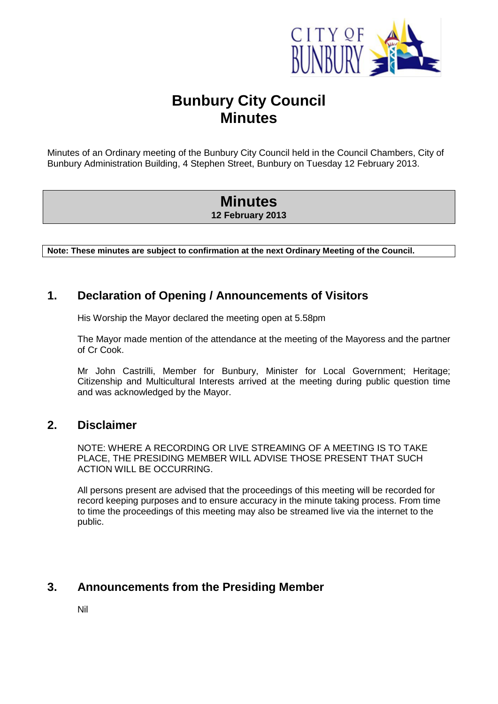

# **Bunbury City Council Minutes**

Minutes of an Ordinary meeting of the Bunbury City Council held in the Council Chambers, City of Bunbury Administration Building, 4 Stephen Street, Bunbury on Tuesday 12 February 2013.

# **Minutes 12 February 2013**

**Note: These minutes are subject to confirmation at the next Ordinary Meeting of the Council.**

### <span id="page-5-0"></span>**1. Declaration of Opening / Announcements of Visitors**

His Worship the Mayor declared the meeting open at 5.58pm

The Mayor made mention of the attendance at the meeting of the Mayoress and the partner of Cr Cook.

Mr John Castrilli, Member for Bunbury, Minister for Local Government; Heritage; Citizenship and Multicultural Interests arrived at the meeting during public question time and was acknowledged by the Mayor.

### <span id="page-5-1"></span>**2. Disclaimer**

NOTE: WHERE A RECORDING OR LIVE STREAMING OF A MEETING IS TO TAKE PLACE, THE PRESIDING MEMBER WILL ADVISE THOSE PRESENT THAT SUCH ACTION WILL BE OCCURRING.

All persons present are advised that the proceedings of this meeting will be recorded for record keeping purposes and to ensure accuracy in the minute taking process. From time to time the proceedings of this meeting may also be streamed live via the internet to the public.

# <span id="page-5-2"></span>**3. Announcements from the Presiding Member**

Nil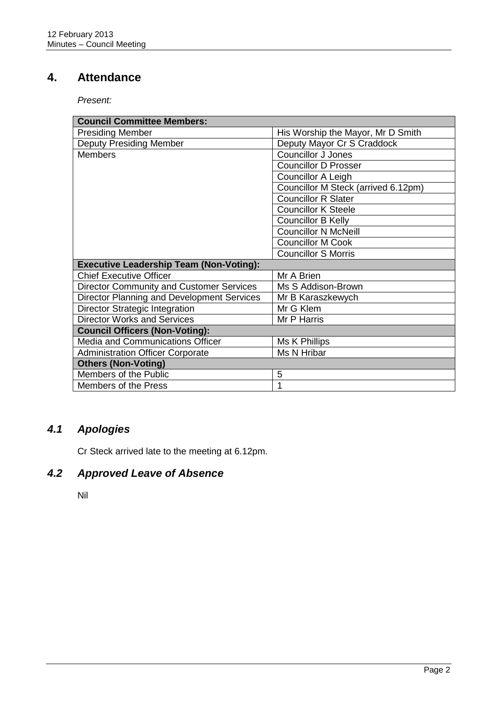# <span id="page-6-0"></span>**4. Attendance**

*Present:*

| <b>Council Committee Members:</b>               |                                     |  |  |
|-------------------------------------------------|-------------------------------------|--|--|
| <b>Presiding Member</b>                         | His Worship the Mayor, Mr D Smith   |  |  |
| <b>Deputy Presiding Member</b>                  | Deputy Mayor Cr S Craddock          |  |  |
| <b>Members</b>                                  | <b>Councillor J Jones</b>           |  |  |
|                                                 | <b>Councillor D Prosser</b>         |  |  |
|                                                 | Councillor A Leigh                  |  |  |
|                                                 | Councillor M Steck (arrived 6.12pm) |  |  |
|                                                 | <b>Councillor R Slater</b>          |  |  |
|                                                 | <b>Councillor K Steele</b>          |  |  |
|                                                 | <b>Councillor B Kelly</b>           |  |  |
|                                                 | <b>Councillor N McNeill</b>         |  |  |
|                                                 | <b>Councillor M Cook</b>            |  |  |
|                                                 | <b>Councillor S Morris</b>          |  |  |
| <b>Executive Leadership Team (Non-Voting):</b>  |                                     |  |  |
| <b>Chief Executive Officer</b>                  | Mr A Brien                          |  |  |
| <b>Director Community and Customer Services</b> | Ms S Addison-Brown                  |  |  |
| Director Planning and Development Services      | Mr B Karaszkewych                   |  |  |
| <b>Director Strategic Integration</b>           | Mr G Klem                           |  |  |
| <b>Director Works and Services</b>              | Mr P Harris                         |  |  |
| <b>Council Officers (Non-Voting):</b>           |                                     |  |  |
| Media and Communications Officer                | Ms K Phillips                       |  |  |
| <b>Administration Officer Corporate</b>         | Ms N Hribar                         |  |  |
| <b>Others (Non-Voting)</b>                      |                                     |  |  |
| Members of the Public                           | 5                                   |  |  |
| Members of the Press                            | 1                                   |  |  |

# <span id="page-6-1"></span>*4.1 Apologies*

Cr Steck arrived late to the meeting at 6.12pm.

# <span id="page-6-2"></span>*4.2 Approved Leave of Absence*

Nil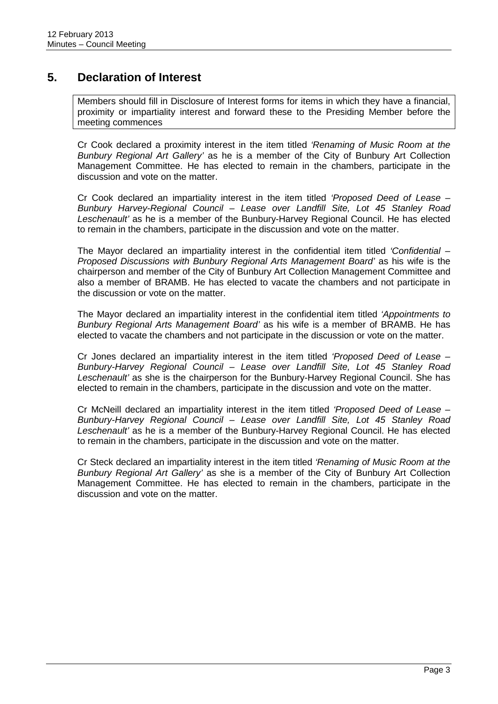## <span id="page-7-0"></span>**5. Declaration of Interest**

Members should fill in Disclosure of Interest forms for items in which they have a financial, proximity or impartiality interest and forward these to the Presiding Member before the meeting commences

Cr Cook declared a proximity interest in the item titled *'Renaming of Music Room at the Bunbury Regional Art Gallery'* as he is a member of the City of Bunbury Art Collection Management Committee. He has elected to remain in the chambers, participate in the discussion and vote on the matter.

Cr Cook declared an impartiality interest in the item titled *'Proposed Deed of Lease – Bunbury Harvey-Regional Council – Lease over Landfill Site, Lot 45 Stanley Road Leschenault'* as he is a member of the Bunbury-Harvey Regional Council. He has elected to remain in the chambers, participate in the discussion and vote on the matter.

The Mayor declared an impartiality interest in the confidential item titled *'Confidential – Proposed Discussions with Bunbury Regional Arts Management Board'* as his wife is the chairperson and member of the City of Bunbury Art Collection Management Committee and also a member of BRAMB. He has elected to vacate the chambers and not participate in the discussion or vote on the matter.

The Mayor declared an impartiality interest in the confidential item titled *'Appointments to Bunbury Regional Arts Management Board'* as his wife is a member of BRAMB. He has elected to vacate the chambers and not participate in the discussion or vote on the matter.

Cr Jones declared an impartiality interest in the item titled *'Proposed Deed of Lease – Bunbury-Harvey Regional Council – Lease over Landfill Site, Lot 45 Stanley Road Leschenault'* as she is the chairperson for the Bunbury-Harvey Regional Council. She has elected to remain in the chambers, participate in the discussion and vote on the matter.

Cr McNeill declared an impartiality interest in the item titled *'Proposed Deed of Lease – Bunbury-Harvey Regional Council – Lease over Landfill Site, Lot 45 Stanley Road Leschenault'* as he is a member of the Bunbury-Harvey Regional Council. He has elected to remain in the chambers, participate in the discussion and vote on the matter.

Cr Steck declared an impartiality interest in the item titled *'Renaming of Music Room at the Bunbury Regional Art Gallery'* as she is a member of the City of Bunbury Art Collection Management Committee. He has elected to remain in the chambers, participate in the discussion and vote on the matter.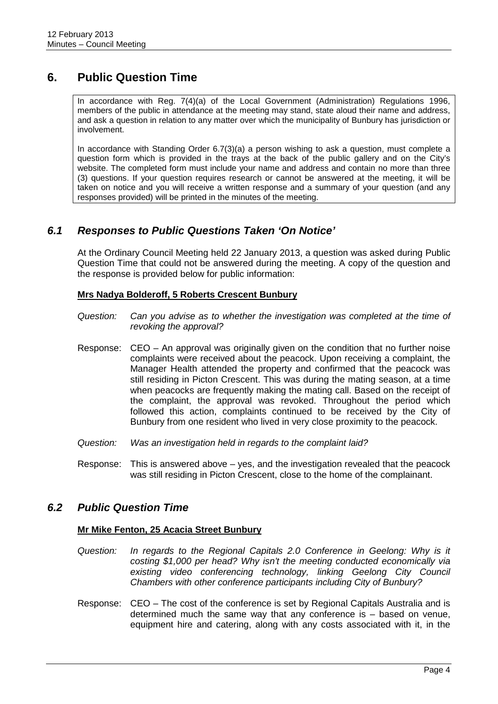# <span id="page-8-0"></span>**6. Public Question Time**

In accordance with Reg. 7(4)(a) of the Local Government (Administration) Regulations 1996, members of the public in attendance at the meeting may stand, state aloud their name and address, and ask a question in relation to any matter over which the municipality of Bunbury has jurisdiction or involvement.

In accordance with Standing Order 6.7(3)(a) a person wishing to ask a question, must complete a question form which is provided in the trays at the back of the public gallery and on the City's website. The completed form must include your name and address and contain no more than three (3) questions. If your question requires research or cannot be answered at the meeting, it will be taken on notice and you will receive a written response and a summary of your question (and any responses provided) will be printed in the minutes of the meeting.

### <span id="page-8-1"></span>*6.1 Responses to Public Questions Taken 'On Notice'*

At the Ordinary Council Meeting held 22 January 2013, a question was asked during Public Question Time that could not be answered during the meeting. A copy of the question and the response is provided below for public information:

#### **Mrs Nadya Bolderoff, 5 Roberts Crescent Bunbury**

- *Question: Can you advise as to whether the investigation was completed at the time of revoking the approval?*
- Response: CEO An approval was originally given on the condition that no further noise complaints were received about the peacock. Upon receiving a complaint, the Manager Health attended the property and confirmed that the peacock was still residing in Picton Crescent. This was during the mating season, at a time when peacocks are frequently making the mating call. Based on the receipt of the complaint, the approval was revoked. Throughout the period which followed this action, complaints continued to be received by the City of Bunbury from one resident who lived in very close proximity to the peacock.
- *Question: Was an investigation held in regards to the complaint laid?*
- Response: This is answered above yes, and the investigation revealed that the peacock was still residing in Picton Crescent, close to the home of the complainant.

### <span id="page-8-2"></span>*6.2 Public Question Time*

#### **Mr Mike Fenton, 25 Acacia Street Bunbury**

- *Question: In regards to the Regional Capitals 2.0 Conference in Geelong: Why is it costing \$1,000 per head? Why isn't the meeting conducted economically via existing video conferencing technology, linking Geelong City Council Chambers with other conference participants including City of Bunbury?*
- Response: CEO The cost of the conference is set by Regional Capitals Australia and is determined much the same way that any conference is – based on venue, equipment hire and catering, along with any costs associated with it, in the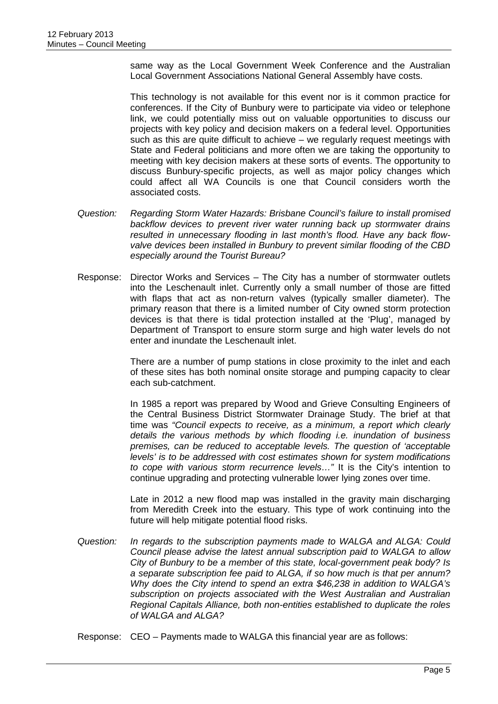same way as the Local Government Week Conference and the Australian Local Government Associations National General Assembly have costs.

This technology is not available for this event nor is it common practice for conferences. If the City of Bunbury were to participate via video or telephone link, we could potentially miss out on valuable opportunities to discuss our projects with key policy and decision makers on a federal level. Opportunities such as this are quite difficult to achieve – we regularly request meetings with State and Federal politicians and more often we are taking the opportunity to meeting with key decision makers at these sorts of events. The opportunity to discuss Bunbury-specific projects, as well as major policy changes which could affect all WA Councils is one that Council considers worth the associated costs.

- *Question: Regarding Storm Water Hazards: Brisbane Council's failure to install promised backflow devices to prevent river water running back up stormwater drains resulted in unnecessary flooding in last month's flood. Have any back flowvalve devices been installed in Bunbury to prevent similar flooding of the CBD especially around the Tourist Bureau?*
- Response: Director Works and Services The City has a number of stormwater outlets into the Leschenault inlet. Currently only a small number of those are fitted with flaps that act as non-return valves (typically smaller diameter). The primary reason that there is a limited number of City owned storm protection devices is that there is tidal protection installed at the 'Plug', managed by Department of Transport to ensure storm surge and high water levels do not enter and inundate the Leschenault inlet.

There are a number of pump stations in close proximity to the inlet and each of these sites has both nominal onsite storage and pumping capacity to clear each sub-catchment.

In 1985 a report was prepared by Wood and Grieve Consulting Engineers of the Central Business District Stormwater Drainage Study. The brief at that time was *"Council expects to receive, as a minimum, a report which clearly details the various methods by which flooding i.e. inundation of business premises, can be reduced to acceptable levels. The question of 'acceptable levels' is to be addressed with cost estimates shown for system modifications to cope with various storm recurrence levels…"* It is the City's intention to continue upgrading and protecting vulnerable lower lying zones over time.

Late in 2012 a new flood map was installed in the gravity main discharging from Meredith Creek into the estuary. This type of work continuing into the future will help mitigate potential flood risks.

- *Question: In regards to the subscription payments made to WALGA and ALGA: Could Council please advise the latest annual subscription paid to WALGA to allow City of Bunbury to be a member of this state, local-government peak body? Is a separate subscription fee paid to ALGA, if so how much is that per annum? Why does the City intend to spend an extra \$46,238 in addition to WALGA's subscription on projects associated with the West Australian and Australian Regional Capitals Alliance, both non-entities established to duplicate the roles of WALGA and ALGA?*
- Response: CEO Payments made to WALGA this financial year are as follows: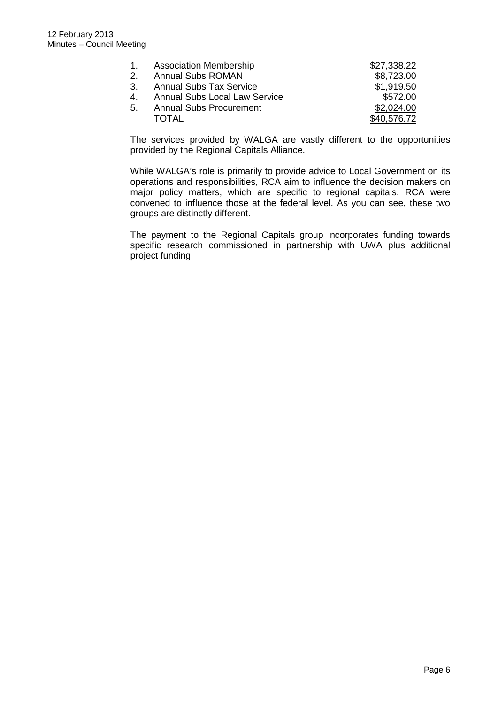| 1.             | <b>Association Membership</b>        | \$27,338.22 |
|----------------|--------------------------------------|-------------|
| $\mathcal{P}$  | <b>Annual Subs ROMAN</b>             | \$8,723.00  |
| 3 <sub>1</sub> | <b>Annual Subs Tax Service</b>       | \$1,919.50  |
| 4.             | <b>Annual Subs Local Law Service</b> | \$572.00    |
| .5.            | <b>Annual Subs Procurement</b>       | \$2,024.00  |
|                | TOTAL                                | \$40,576.72 |

The services provided by WALGA are vastly different to the opportunities provided by the Regional Capitals Alliance.

While WALGA's role is primarily to provide advice to Local Government on its operations and responsibilities, RCA aim to influence the decision makers on major policy matters, which are specific to regional capitals. RCA were convened to influence those at the federal level. As you can see, these two groups are distinctly different.

The payment to the Regional Capitals group incorporates funding towards specific research commissioned in partnership with UWA plus additional project funding.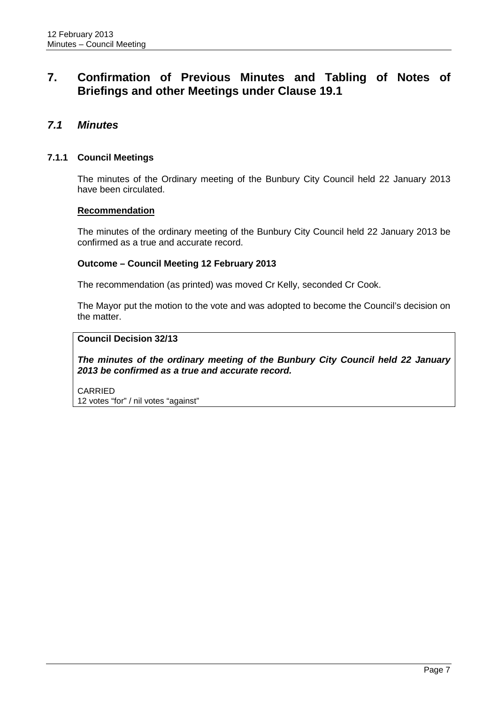# <span id="page-11-0"></span>**7. Confirmation of Previous Minutes and Tabling of Notes of Briefings and other Meetings under Clause 19.1**

### <span id="page-11-1"></span>*7.1 Minutes*

#### <span id="page-11-2"></span>**7.1.1 Council Meetings**

The minutes of the Ordinary meeting of the Bunbury City Council held 22 January 2013 have been circulated.

#### **Recommendation**

The minutes of the ordinary meeting of the Bunbury City Council held 22 January 2013 be confirmed as a true and accurate record.

#### **Outcome – Council Meeting 12 February 2013**

The recommendation (as printed) was moved Cr Kelly, seconded Cr Cook.

The Mayor put the motion to the vote and was adopted to become the Council's decision on the matter.

#### **Council Decision 32/13**

*The minutes of the ordinary meeting of the Bunbury City Council held 22 January 2013 be confirmed as a true and accurate record.*

CARRIED 12 votes "for" / nil votes "against"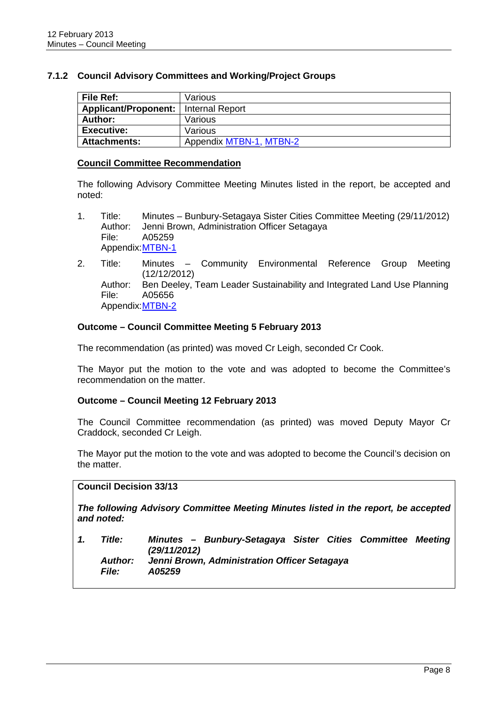#### <span id="page-12-0"></span>**7.1.2 Council Advisory Committees and Working/Project Groups**

| File Ref:            | Various                 |
|----------------------|-------------------------|
| Applicant/Proponent: | Internal Report         |
| <b>Author:</b>       | Various                 |
| <b>Executive:</b>    | Various                 |
| <b>Attachments:</b>  | Appendix MTBN-1, MTBN-2 |

#### **Council Committee Recommendation**

The following Advisory Committee Meeting Minutes listed in the report, be accepted and noted:

- 1. Title: Minutes Bunbury-Setagaya Sister Cities Committee Meeting (29/11/2012) Author: Jenni Brown, Administration Officer Setagaya File: A05259 Appendix:MTBN-1
- 2. Title: Minutes Community Environmental Reference Group Meeting (12/12/2012) Author: Ben Deeley, Team Leader Sustainability and Integrated Land Use Planning File: A05656 Appendix: MTBN-2

#### **Outcome – Council Committee Meeting 5 February 2013**

The recommendation (as printed) was moved Cr Leigh, seconded Cr Cook.

The Mayor put the motion to the vote and was adopted to become the Committee's recommendation on the matter.

#### **Outcome – Council Meeting 12 February 2013**

The Council Committee recommendation (as printed) was moved Deputy Mayor Cr Craddock, seconded Cr Leigh.

The Mayor put the motion to the vote and was adopted to become the Council's decision on the matter.

#### **Council Decision 33/13**

*The following Advisory Committee Meeting Minutes listed in the report, be accepted and noted:*

*1. Title: Minutes – Bunbury-Setagaya Sister Cities Committee Meeting (29/11/2012) Author: Jenni Brown, Administration Officer Setagaya File: A05259*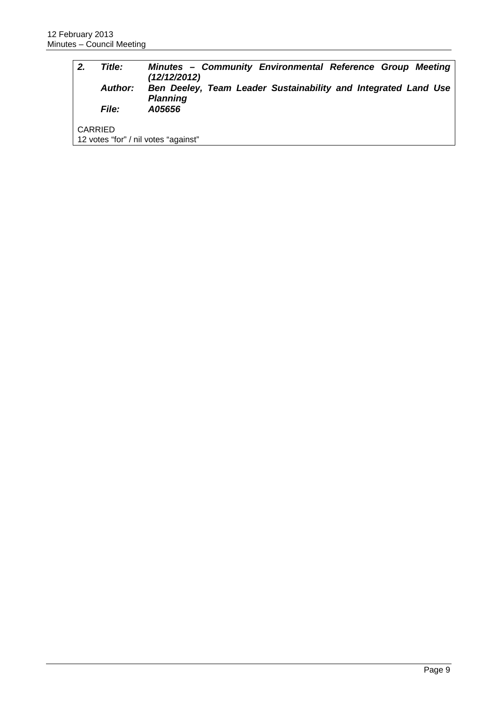| 2. | Title:<br><b>Author:</b><br><i>File:</i> | Minutes - Community Environmental Reference Group Meeting<br>(12/12/2012)<br>Ben Deeley, Team Leader Sustainability and Integrated Land Use<br><b>Planning</b><br>A05656 |
|----|------------------------------------------|--------------------------------------------------------------------------------------------------------------------------------------------------------------------------|
|    | <b>CARRIED</b>                           | 12 votes "for" / nil votes "against"                                                                                                                                     |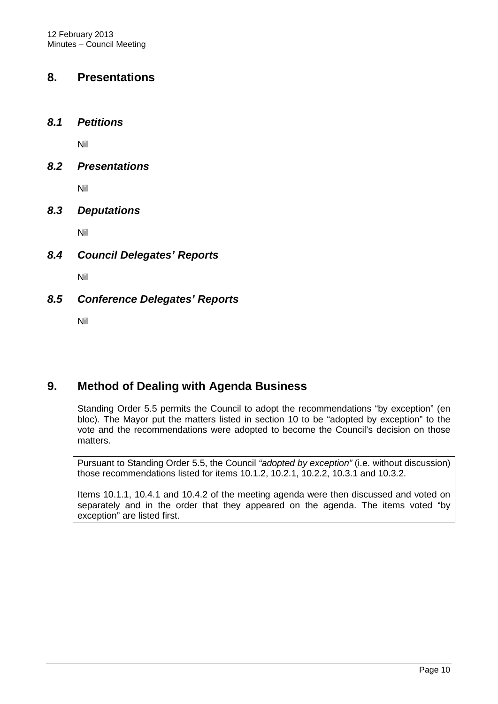## <span id="page-14-0"></span>**8. Presentations**

<span id="page-14-1"></span>*8.1 Petitions*

Nil

<span id="page-14-2"></span>*8.2 Presentations*

Nil

<span id="page-14-3"></span>*8.3 Deputations*

Nil

<span id="page-14-4"></span>*8.4 Council Delegates' Reports*

Nil

### <span id="page-14-5"></span>*8.5 Conference Delegates' Reports*

Nil

# <span id="page-14-6"></span>**9. Method of Dealing with Agenda Business**

Standing Order 5.5 permits the Council to adopt the recommendations "by exception" (en bloc). The Mayor put the matters listed in section 10 to be "adopted by exception" to the vote and the recommendations were adopted to become the Council's decision on those matters.

Pursuant to Standing Order 5.5, the Council *"adopted by exception"* (i.e. without discussion) those recommendations listed for items 10.1.2, 10.2.1, 10.2.2, 10.3.1 and 10.3.2.

Items 10.1.1, 10.4.1 and 10.4.2 of the meeting agenda were then discussed and voted on separately and in the order that they appeared on the agenda. The items voted "by exception" are listed first.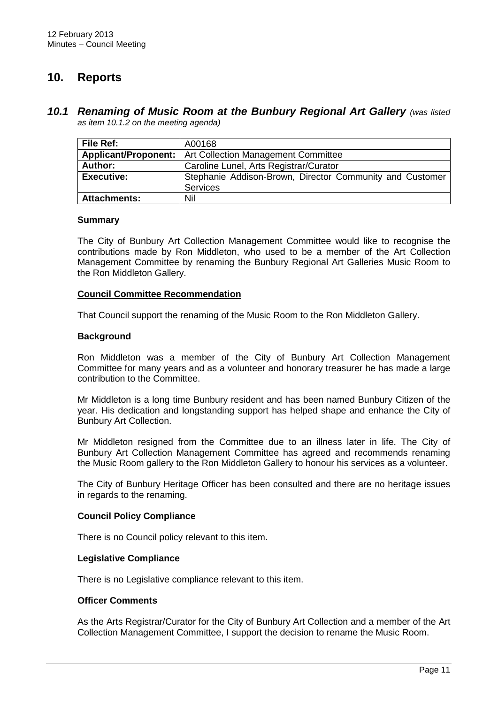# <span id="page-15-0"></span>**10. Reports**

#### <span id="page-15-1"></span>*10.1 Renaming of Music Room at the Bunbury Regional Art Gallery (was listed as item 10.1.2 on the meeting agenda)*

| File Ref:            | A00168                                                   |
|----------------------|----------------------------------------------------------|
| Applicant/Proponent: | Art Collection Management Committee                      |
| Author:              | Caroline Lunel, Arts Registrar/Curator                   |
| <b>Executive:</b>    | Stephanie Addison-Brown, Director Community and Customer |
|                      | <b>Services</b>                                          |
| <b>Attachments:</b>  | Nil                                                      |

#### **Summary**

The City of Bunbury Art Collection Management Committee would like to recognise the contributions made by Ron Middleton, who used to be a member of the Art Collection Management Committee by renaming the Bunbury Regional Art Galleries Music Room to the Ron Middleton Gallery.

#### **Council Committee Recommendation**

That Council support the renaming of the Music Room to the Ron Middleton Gallery.

#### **Background**

Ron Middleton was a member of the City of Bunbury Art Collection Management Committee for many years and as a volunteer and honorary treasurer he has made a large contribution to the Committee.

Mr Middleton is a long time Bunbury resident and has been named Bunbury Citizen of the year. His dedication and longstanding support has helped shape and enhance the City of Bunbury Art Collection.

Mr Middleton resigned from the Committee due to an illness later in life. The City of Bunbury Art Collection Management Committee has agreed and recommends renaming the Music Room gallery to the Ron Middleton Gallery to honour his services as a volunteer.

The City of Bunbury Heritage Officer has been consulted and there are no heritage issues in regards to the renaming.

#### **Council Policy Compliance**

There is no Council policy relevant to this item.

#### **Legislative Compliance**

There is no Legislative compliance relevant to this item.

#### **Officer Comments**

As the Arts Registrar/Curator for the City of Bunbury Art Collection and a member of the Art Collection Management Committee, I support the decision to rename the Music Room.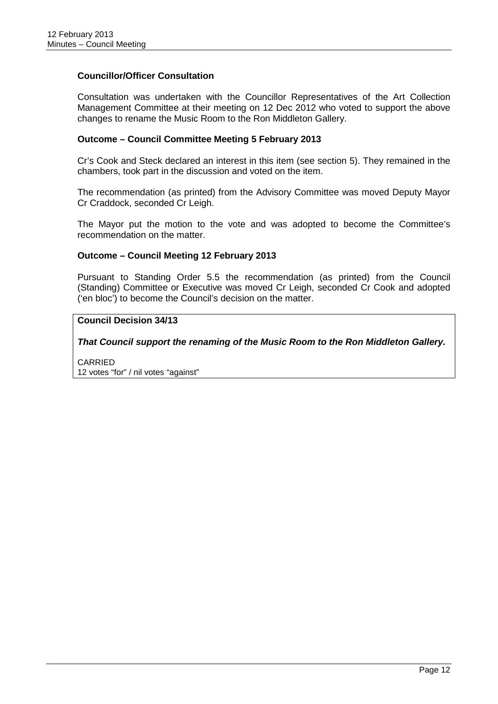#### **Councillor/Officer Consultation**

Consultation was undertaken with the Councillor Representatives of the Art Collection Management Committee at their meeting on 12 Dec 2012 who voted to support the above changes to rename the Music Room to the Ron Middleton Gallery.

#### **Outcome – Council Committee Meeting 5 February 2013**

Cr's Cook and Steck declared an interest in this item (see section 5). They remained in the chambers, took part in the discussion and voted on the item.

The recommendation (as printed) from the Advisory Committee was moved Deputy Mayor Cr Craddock, seconded Cr Leigh.

The Mayor put the motion to the vote and was adopted to become the Committee's recommendation on the matter.

#### **Outcome – Council Meeting 12 February 2013**

Pursuant to Standing Order 5.5 the recommendation (as printed) from the Council (Standing) Committee or Executive was moved Cr Leigh, seconded Cr Cook and adopted ('en bloc') to become the Council's decision on the matter.

#### **Council Decision 34/13**

*That Council support the renaming of the Music Room to the Ron Middleton Gallery.*

CARRIED 12 votes "for" / nil votes "against"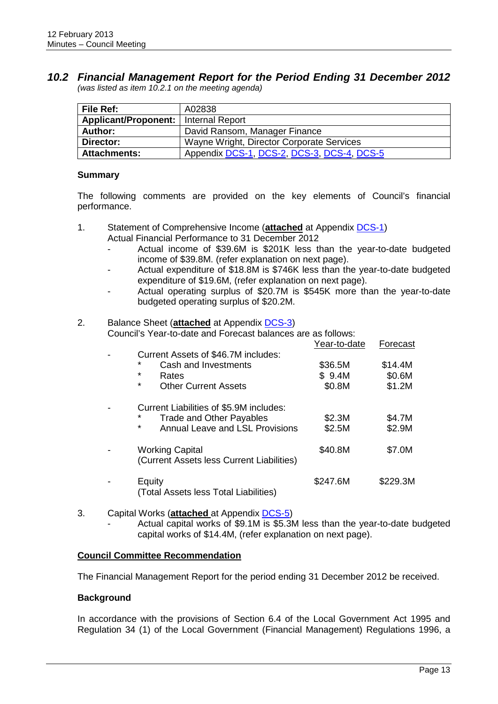#### <span id="page-17-0"></span>*10.2 Financial Management Report for the Period Ending 31 December 2012 (was listed as item 10.2.1 on the meeting agenda)*

| File Ref:                              | A02838                                     |  |
|----------------------------------------|--------------------------------------------|--|
| Applicant/Proponent:   Internal Report |                                            |  |
| Author:                                | David Ransom, Manager Finance              |  |
| Director:                              | Wayne Wright, Director Corporate Services  |  |
| <b>Attachments:</b>                    | Appendix DCS-1, DCS-2, DCS-3, DCS-4, DCS-5 |  |

#### **Summary**

The following comments are provided on the key elements of Council's financial performance.

- 1. Statement of Comprehensive Income (**attached** at Appendix DCS-1) Actual Financial Performance to 31 December 2012
	- Actual income of \$39.6M is \$201K less than the year-to-date budgeted income of \$39.8M. (refer explanation on next page).
	- Actual expenditure of \$18.8M is \$746K less than the year-to-date budgeted expenditure of \$19.6M, (refer explanation on next page).
	- Actual operating surplus of \$20.7M is \$545K more than the year-to-date budgeted operating surplus of \$20.2M.

#### 2. Balance Sheet (**attached** at Appendix DCS-3)

Council's Year-to-date and Forecast balances are as follows:

|                                                                     | Year-to-date | Forecast |
|---------------------------------------------------------------------|--------------|----------|
| Current Assets of \$46.7M includes:                                 |              |          |
| *<br>Cash and Investments                                           | \$36.5M      | \$14.4M  |
| $\star$<br>Rates                                                    | \$9.4M       | \$0.6M   |
| $\star$<br><b>Other Current Assets</b>                              | \$0.8M       | \$1.2M   |
| Current Liabilities of \$5.9M includes:                             |              |          |
| $\star$<br><b>Trade and Other Payables</b>                          | \$2.3M       | \$4.7M   |
| $\star$<br>Annual Leave and LSL Provisions                          | \$2.5M       | \$2.9M   |
| <b>Working Capital</b><br>(Current Assets less Current Liabilities) | \$40.8M      | \$7.0M   |
|                                                                     |              |          |
| Equity<br>(Total Assets less Total Liabilities)                     | \$247.6M     | \$229.3M |

- 3. Capital Works (**attached** at Appendix DCS-5)
	- Actual capital works of \$9.1M is \$5.3M less than the year-to-date budgeted capital works of \$14.4M, (refer explanation on next page).

### **Council Committee Recommendation**

The Financial Management Report for the period ending 31 December 2012 be received.

#### **Background**

In accordance with the provisions of Section 6.4 of the Local Government Act 1995 and Regulation 34 (1) of the Local Government (Financial Management) Regulations 1996, a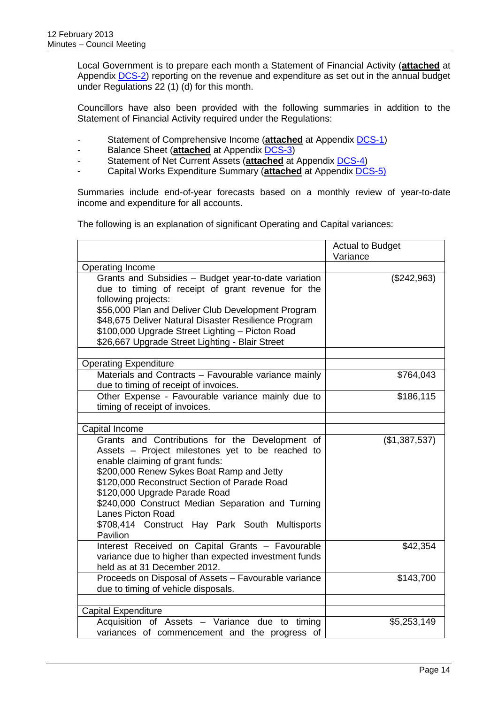Local Government is to prepare each month a Statement of Financial Activity (**attached** at Appendix DCS-2) reporting on the revenue and expenditure as set out in the annual budget under Regulations 22 (1) (d) for this month.

Councillors have also been provided with the following summaries in addition to the Statement of Financial Activity required under the Regulations:

- Statement of Comprehensive Income (**attached** at Appendix DCS-1)
- Balance Sheet (**attached** at Appendix DCS-3)
- Statement of Net Current Assets (**attached** at Appendix DCS-4)
- Capital Works Expenditure Summary (**attached** at Appendix DCS-5)

Summaries include end-of-year forecasts based on a monthly review of year-to-date income and expenditure for all accounts.

The following is an explanation of significant Operating and Capital variances:

|                                                       | <b>Actual to Budget</b> |
|-------------------------------------------------------|-------------------------|
|                                                       | Variance                |
| Operating Income                                      |                         |
| Grants and Subsidies - Budget year-to-date variation  | (\$242,963)             |
| due to timing of receipt of grant revenue for the     |                         |
| following projects:                                   |                         |
| \$56,000 Plan and Deliver Club Development Program    |                         |
| \$48,675 Deliver Natural Disaster Resilience Program  |                         |
| \$100,000 Upgrade Street Lighting - Picton Road       |                         |
| \$26,667 Upgrade Street Lighting - Blair Street       |                         |
|                                                       |                         |
| <b>Operating Expenditure</b>                          |                         |
| Materials and Contracts - Favourable variance mainly  | \$764,043               |
| due to timing of receipt of invoices.                 |                         |
| Other Expense - Favourable variance mainly due to     | \$186,115               |
| timing of receipt of invoices.                        |                         |
|                                                       |                         |
| Capital Income                                        |                         |
| Grants and Contributions for the Development of       | (\$1,387,537)           |
| Assets - Project milestones yet to be reached to      |                         |
| enable claiming of grant funds:                       |                         |
| \$200,000 Renew Sykes Boat Ramp and Jetty             |                         |
| \$120,000 Reconstruct Section of Parade Road          |                         |
| \$120,000 Upgrade Parade Road                         |                         |
| \$240,000 Construct Median Separation and Turning     |                         |
| <b>Lanes Picton Road</b>                              |                         |
| \$708,414 Construct Hay Park South Multisports        |                         |
| Pavilion                                              |                         |
| Interest Received on Capital Grants - Favourable      | \$42,354                |
| variance due to higher than expected investment funds |                         |
| held as at 31 December 2012.                          |                         |
| Proceeds on Disposal of Assets - Favourable variance  | \$143,700               |
| due to timing of vehicle disposals.                   |                         |
|                                                       |                         |
| <b>Capital Expenditure</b>                            |                         |
| Acquisition of Assets - Variance due to timing        | \$5,253,149             |
| variances of commencement and the progress of         |                         |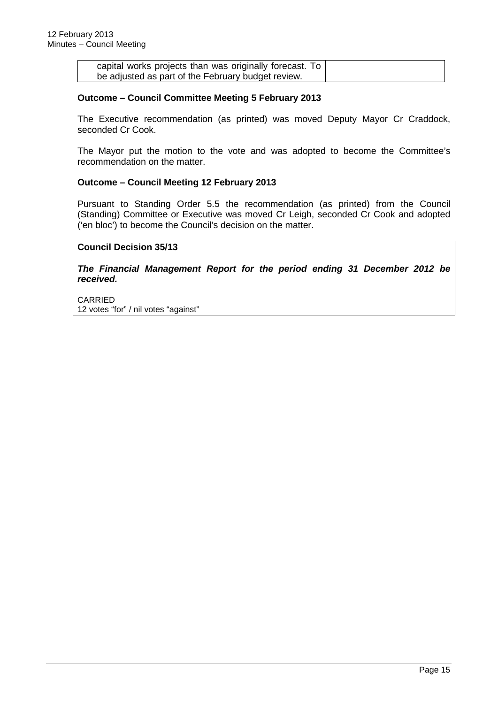| capital works projects than was originally forecast. To |
|---------------------------------------------------------|
| be adjusted as part of the February budget review.      |

#### **Outcome – Council Committee Meeting 5 February 2013**

The Executive recommendation (as printed) was moved Deputy Mayor Cr Craddock, seconded Cr Cook.

The Mayor put the motion to the vote and was adopted to become the Committee's recommendation on the matter.

#### **Outcome – Council Meeting 12 February 2013**

Pursuant to Standing Order 5.5 the recommendation (as printed) from the Council (Standing) Committee or Executive was moved Cr Leigh, seconded Cr Cook and adopted ('en bloc') to become the Council's decision on the matter.

#### **Council Decision 35/13**

*The Financial Management Report for the period ending 31 December 2012 be received.*

CARRIED 12 votes "for" / nil votes "against"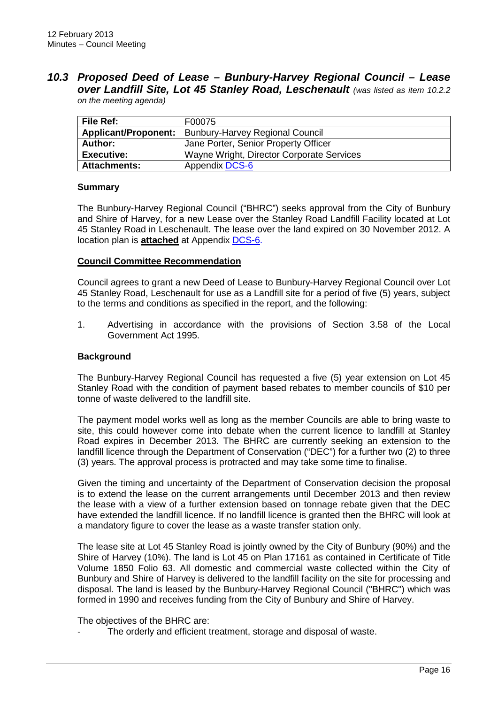### <span id="page-20-0"></span>*10.3 Proposed Deed of Lease – Bunbury-Harvey Regional Council – Lease over Landfill Site, Lot 45 Stanley Road, Leschenault (was listed as item 10.2.2 on the meeting agenda)*

| <b>File Ref:</b>     | F00075                                    |
|----------------------|-------------------------------------------|
| Applicant/Proponent: | <b>Bunbury-Harvey Regional Council</b>    |
| <b>Author:</b>       | Jane Porter, Senior Property Officer      |
| <b>Executive:</b>    | Wayne Wright, Director Corporate Services |
| <b>Attachments:</b>  | Appendix DCS-6                            |

#### **Summary**

The Bunbury-Harvey Regional Council ("BHRC") seeks approval from the City of Bunbury and Shire of Harvey, for a new Lease over the Stanley Road Landfill Facility located at Lot 45 Stanley Road in Leschenault. The lease over the land expired on 30 November 2012. A location plan is **attached** at Appendix DCS-6.

#### **Council Committee Recommendation**

Council agrees to grant a new Deed of Lease to Bunbury-Harvey Regional Council over Lot 45 Stanley Road, Leschenault for use as a Landfill site for a period of five (5) years, subject to the terms and conditions as specified in the report, and the following:

1. Advertising in accordance with the provisions of Section 3.58 of the Local Government Act 1995.

#### **Background**

The Bunbury-Harvey Regional Council has requested a five (5) year extension on Lot 45 Stanley Road with the condition of payment based rebates to member councils of \$10 per tonne of waste delivered to the landfill site.

The payment model works well as long as the member Councils are able to bring waste to site, this could however come into debate when the current licence to landfill at Stanley Road expires in December 2013. The BHRC are currently seeking an extension to the landfill licence through the Department of Conservation ("DEC") for a further two (2) to three (3) years. The approval process is protracted and may take some time to finalise.

Given the timing and uncertainty of the Department of Conservation decision the proposal is to extend the lease on the current arrangements until December 2013 and then review the lease with a view of a further extension based on tonnage rebate given that the DEC have extended the landfill licence. If no landfill licence is granted then the BHRC will look at a mandatory figure to cover the lease as a waste transfer station only.

The lease site at Lot 45 Stanley Road is jointly owned by the City of Bunbury (90%) and the Shire of Harvey (10%). The land is Lot 45 on Plan 17161 as contained in Certificate of Title Volume 1850 Folio 63. All domestic and commercial waste collected within the City of Bunbury and Shire of Harvey is delivered to the landfill facility on the site for processing and disposal. The land is leased by the Bunbury-Harvey Regional Council ("BHRC") which was formed in 1990 and receives funding from the City of Bunbury and Shire of Harvey.

The objectives of the BHRC are:

The orderly and efficient treatment, storage and disposal of waste.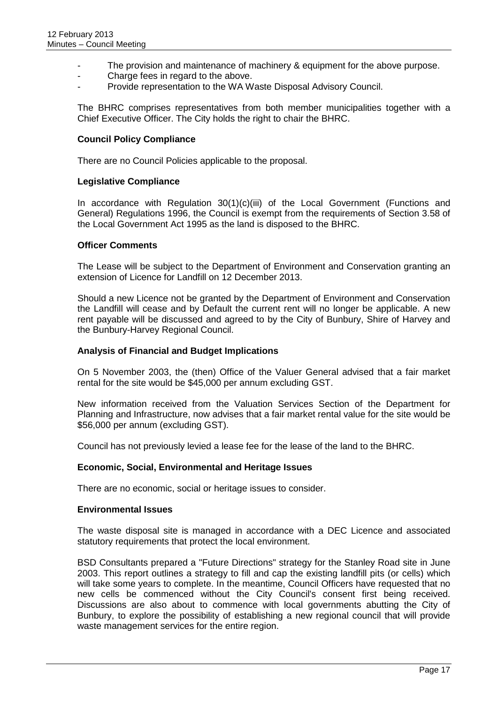- The provision and maintenance of machinery & equipment for the above purpose.
- Charge fees in regard to the above.
- Provide representation to the WA Waste Disposal Advisory Council.

The BHRC comprises representatives from both member municipalities together with a Chief Executive Officer. The City holds the right to chair the BHRC.

#### **Council Policy Compliance**

There are no Council Policies applicable to the proposal.

#### **Legislative Compliance**

In accordance with Regulation 30(1)(c)(iii) of the Local Government (Functions and General) Regulations 1996, the Council is exempt from the requirements of Section 3.58 of the Local Government Act 1995 as the land is disposed to the BHRC.

#### **Officer Comments**

The Lease will be subject to the Department of Environment and Conservation granting an extension of Licence for Landfill on 12 December 2013.

Should a new Licence not be granted by the Department of Environment and Conservation the Landfill will cease and by Default the current rent will no longer be applicable. A new rent payable will be discussed and agreed to by the City of Bunbury, Shire of Harvey and the Bunbury-Harvey Regional Council.

#### **Analysis of Financial and Budget Implications**

On 5 November 2003, the (then) Office of the Valuer General advised that a fair market rental for the site would be \$45,000 per annum excluding GST.

New information received from the Valuation Services Section of the Department for Planning and Infrastructure, now advises that a fair market rental value for the site would be \$56,000 per annum (excluding GST).

Council has not previously levied a lease fee for the lease of the land to the BHRC.

#### **Economic, Social, Environmental and Heritage Issues**

There are no economic, social or heritage issues to consider.

#### **Environmental Issues**

The waste disposal site is managed in accordance with a DEC Licence and associated statutory requirements that protect the local environment.

BSD Consultants prepared a "Future Directions" strategy for the Stanley Road site in June 2003. This report outlines a strategy to fill and cap the existing landfill pits (or cells) which will take some years to complete. In the meantime, Council Officers have requested that no new cells be commenced without the City Council's consent first being received. Discussions are also about to commence with local governments abutting the City of Bunbury, to explore the possibility of establishing a new regional council that will provide waste management services for the entire region.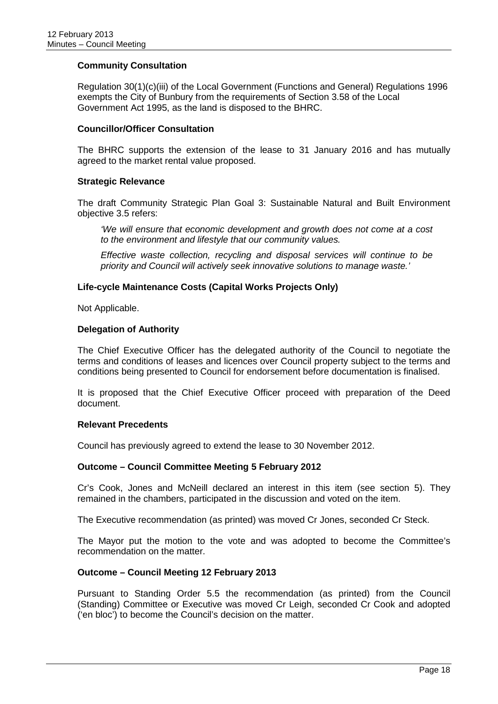#### **Community Consultation**

Regulation 30(1)(c)(iii) of the Local Government (Functions and General) Regulations 1996 exempts the City of Bunbury from the requirements of Section 3.58 of the Local Government Act 1995, as the land is disposed to the BHRC.

#### **Councillor/Officer Consultation**

The BHRC supports the extension of the lease to 31 January 2016 and has mutually agreed to the market rental value proposed.

#### **Strategic Relevance**

The draft Community Strategic Plan Goal 3: Sustainable Natural and Built Environment objective 3.5 refers:

*'We will ensure that economic development and growth does not come at a cost to the environment and lifestyle that our community values.*

*Effective waste collection, recycling and disposal services will continue to be priority and Council will actively seek innovative solutions to manage waste.'*

#### **Life-cycle Maintenance Costs (Capital Works Projects Only)**

Not Applicable.

#### **Delegation of Authority**

The Chief Executive Officer has the delegated authority of the Council to negotiate the terms and conditions of leases and licences over Council property subject to the terms and conditions being presented to Council for endorsement before documentation is finalised.

It is proposed that the Chief Executive Officer proceed with preparation of the Deed document.

#### **Relevant Precedents**

Council has previously agreed to extend the lease to 30 November 2012.

#### **Outcome – Council Committee Meeting 5 February 2012**

Cr's Cook, Jones and McNeill declared an interest in this item (see section 5). They remained in the chambers, participated in the discussion and voted on the item.

The Executive recommendation (as printed) was moved Cr Jones, seconded Cr Steck.

The Mayor put the motion to the vote and was adopted to become the Committee's recommendation on the matter.

#### **Outcome – Council Meeting 12 February 2013**

Pursuant to Standing Order 5.5 the recommendation (as printed) from the Council (Standing) Committee or Executive was moved Cr Leigh, seconded Cr Cook and adopted ('en bloc') to become the Council's decision on the matter.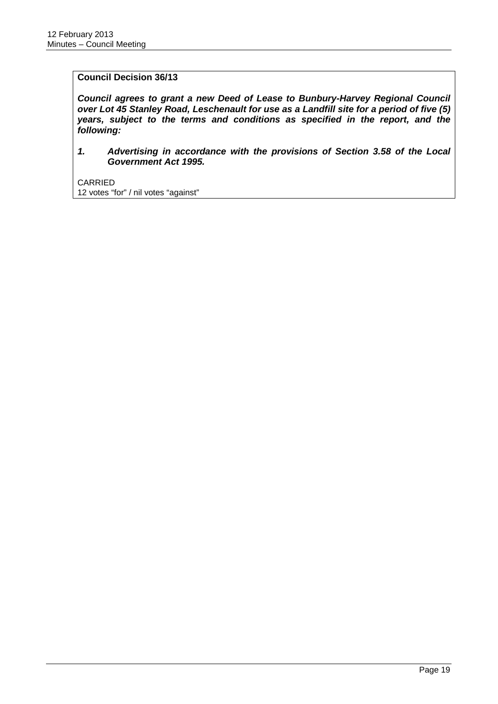#### **Council Decision 36/13**

*Council agrees to grant a new Deed of Lease to Bunbury-Harvey Regional Council over Lot 45 Stanley Road, Leschenault for use as a Landfill site for a period of five (5) years, subject to the terms and conditions as specified in the report, and the following:*

*1. Advertising in accordance with the provisions of Section 3.58 of the Local Government Act 1995.*

CARRIED 12 votes "for" / nil votes "against"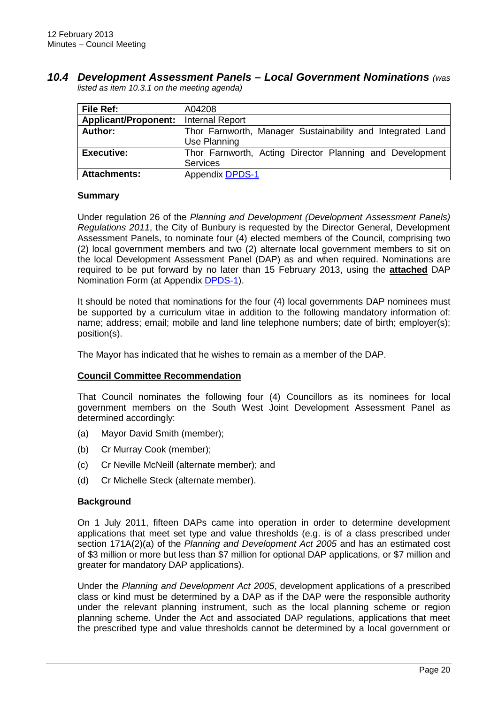#### <span id="page-24-0"></span>*10.4 Development Assessment Panels – Local Government Nominations (was listed as item 10.3.1 on the meeting agenda)*

| File Ref:                              | A04208                                                     |
|----------------------------------------|------------------------------------------------------------|
| Applicant/Proponent:   Internal Report |                                                            |
| Author:                                | Thor Farnworth, Manager Sustainability and Integrated Land |
|                                        | Use Planning                                               |
| <b>Executive:</b>                      | Thor Farnworth, Acting Director Planning and Development   |
|                                        | <b>Services</b>                                            |
| <b>Attachments:</b>                    | <b>Appendix DPDS-1</b>                                     |

#### **Summary**

Under regulation 26 of the *Planning and Development (Development Assessment Panels) Regulations 2011*, the City of Bunbury is requested by the Director General, Development Assessment Panels, to nominate four (4) elected members of the Council, comprising two (2) local government members and two (2) alternate local government members to sit on the local Development Assessment Panel (DAP) as and when required. Nominations are required to be put forward by no later than 15 February 2013, using the **attached** DAP Nomination Form (at Appendix DPDS-1).

It should be noted that nominations for the four (4) local governments DAP nominees must be supported by a curriculum vitae in addition to the following mandatory information of: name; address; email; mobile and land line telephone numbers; date of birth; employer(s); position(s).

The Mayor has indicated that he wishes to remain as a member of the DAP.

#### **Council Committee Recommendation**

That Council nominates the following four (4) Councillors as its nominees for local government members on the South West Joint Development Assessment Panel as determined accordingly:

- (a) Mayor David Smith (member);
- (b) Cr Murray Cook (member);
- (c) Cr Neville McNeill (alternate member); and
- (d) Cr Michelle Steck (alternate member).

#### **Background**

On 1 July 2011, fifteen DAPs came into operation in order to determine development applications that meet set type and value thresholds (e.g. is of a class prescribed under section 171A(2)(a) of the *Planning and Development Act 2005* and has an estimated cost of \$3 million or more but less than \$7 million for optional DAP applications, or \$7 million and greater for mandatory DAP applications).

Under the *Planning and Development Act 2005*, development applications of a prescribed class or kind must be determined by a DAP as if the DAP were the responsible authority under the relevant planning instrument, such as the local planning scheme or region planning scheme. Under the Act and associated DAP regulations, applications that meet the prescribed type and value thresholds cannot be determined by a local government or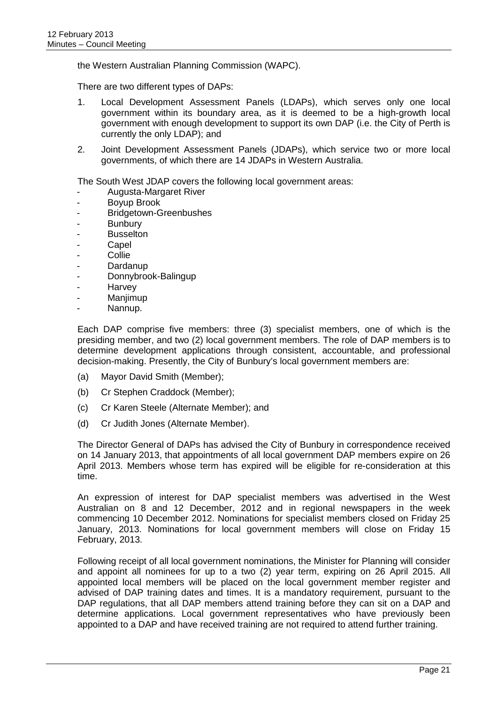the Western Australian Planning Commission (WAPC).

There are two different types of DAPs:

- 1. Local Development Assessment Panels (LDAPs), which serves only one local government within its boundary area, as it is deemed to be a high-growth local government with enough development to support its own DAP (i.e. the City of Perth is currently the only LDAP); and
- 2. Joint Development Assessment Panels (JDAPs), which service two or more local governments, of which there are 14 JDAPs in Western Australia.

The South West JDAP covers the following local government areas:

- Augusta-Margaret River
- Boyup Brook
- Bridgetown-Greenbushes
- **Bunbury**
- **Busselton**
- **Capel**
- **Collie**
- **Dardanup**
- Donnybrook-Balingup
- **Harvey**
- Manjimup
- Nannup.

Each DAP comprise five members: three (3) specialist members, one of which is the presiding member, and two (2) local government members. The role of DAP members is to determine development applications through consistent, accountable, and professional decision-making. Presently, the City of Bunbury's local government members are:

- (a) Mayor David Smith (Member);
- (b) Cr Stephen Craddock (Member);
- (c) Cr Karen Steele (Alternate Member); and
- (d) Cr Judith Jones (Alternate Member).

The Director General of DAPs has advised the City of Bunbury in correspondence received on 14 January 2013, that appointments of all local government DAP members expire on 26 April 2013. Members whose term has expired will be eligible for re-consideration at this time.

An expression of interest for DAP specialist members was advertised in the West Australian on 8 and 12 December, 2012 and in regional newspapers in the week commencing 10 December 2012. Nominations for specialist members closed on Friday 25 January, 2013. Nominations for local government members will close on Friday 15 February, 2013.

Following receipt of all local government nominations, the Minister for Planning will consider and appoint all nominees for up to a two (2) year term, expiring on 26 April 2015. All appointed local members will be placed on the local government member register and advised of DAP training dates and times. It is a mandatory requirement, pursuant to the DAP regulations, that all DAP members attend training before they can sit on a DAP and determine applications. Local government representatives who have previously been appointed to a DAP and have received training are not required to attend further training.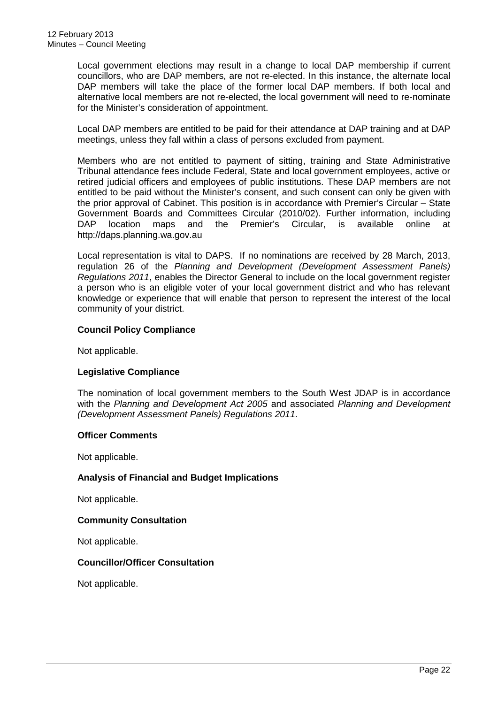Local government elections may result in a change to local DAP membership if current councillors, who are DAP members, are not re-elected. In this instance, the alternate local DAP members will take the place of the former local DAP members. If both local and alternative local members are not re-elected, the local government will need to re-nominate for the Minister's consideration of appointment.

Local DAP members are entitled to be paid for their attendance at DAP training and at DAP meetings, unless they fall within a class of persons excluded from payment.

Members who are not entitled to payment of sitting, training and State Administrative Tribunal attendance fees include Federal, State and local government employees, active or retired judicial officers and employees of public institutions. These DAP members are not entitled to be paid without the Minister's consent, and such consent can only be given with the prior approval of Cabinet. This position is in accordance with Premier's Circular – State Government Boards and Committees Circular (2010/02). Further information, including<br>DAP location maps and the Premier's Circular, is available online at DAP location maps and the Premier's Circular, is available online at [http://daps.planning.wa.gov.au](http://daps.planning.wa.gov.au/)

Local representation is vital to DAPS. If no nominations are received by 28 March, 2013, regulation 26 of the *Planning and Development (Development Assessment Panels) Regulations 2011*, enables the Director General to include on the local government register a person who is an eligible voter of your local government district and who has relevant knowledge or experience that will enable that person to represent the interest of the local community of your district.

#### **Council Policy Compliance**

Not applicable.

#### **Legislative Compliance**

The nomination of local government members to the South West JDAP is in accordance with the *Planning and Development Act 2005* and associated *Planning and Development (Development Assessment Panels) Regulations 2011*.

#### **Officer Comments**

Not applicable.

#### **Analysis of Financial and Budget Implications**

Not applicable.

#### **Community Consultation**

Not applicable.

#### **Councillor/Officer Consultation**

Not applicable.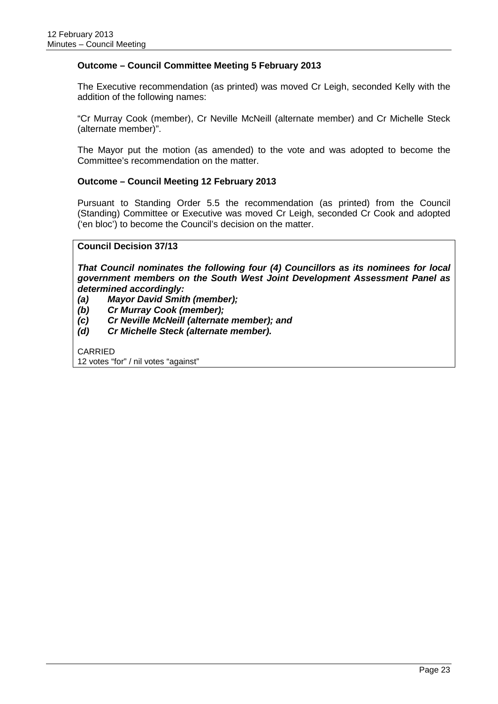#### **Outcome – Council Committee Meeting 5 February 2013**

The Executive recommendation (as printed) was moved Cr Leigh, seconded Kelly with the addition of the following names:

"Cr Murray Cook (member), Cr Neville McNeill (alternate member) and Cr Michelle Steck (alternate member)".

The Mayor put the motion (as amended) to the vote and was adopted to become the Committee's recommendation on the matter.

#### **Outcome – Council Meeting 12 February 2013**

Pursuant to Standing Order 5.5 the recommendation (as printed) from the Council (Standing) Committee or Executive was moved Cr Leigh, seconded Cr Cook and adopted ('en bloc') to become the Council's decision on the matter.

#### **Council Decision 37/13**

*That Council nominates the following four (4) Councillors as its nominees for local government members on the South West Joint Development Assessment Panel as determined accordingly:*

- *(a) Mayor David Smith (member);*
- *(b) Cr Murray Cook (member);*
- *(c) Cr Neville McNeill (alternate member); and*
- *(d) Cr Michelle Steck (alternate member).*

CARRIED 12 votes "for" / nil votes "against"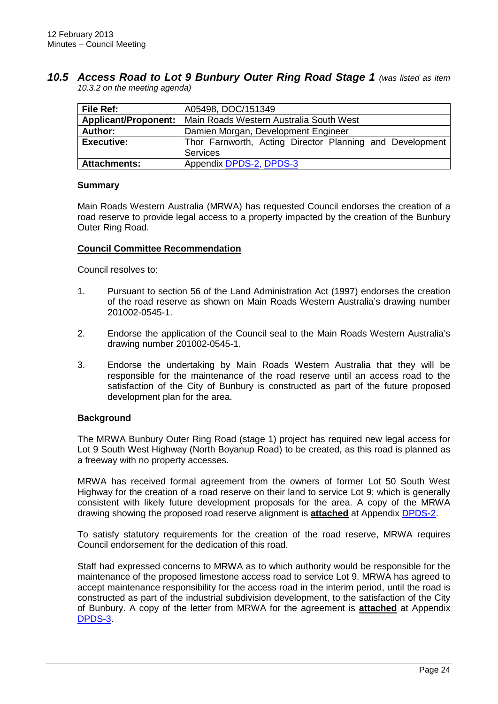#### <span id="page-28-0"></span>*10.5 Access Road to Lot 9 Bunbury Outer Ring Road Stage 1 (was listed as item 10.3.2 on the meeting agenda)*

| File Ref:                   | A05498, DOC/151349                                       |  |  |  |  |
|-----------------------------|----------------------------------------------------------|--|--|--|--|
| <b>Applicant/Proponent:</b> | Main Roads Western Australia South West                  |  |  |  |  |
| Author:                     | Damien Morgan, Development Engineer                      |  |  |  |  |
| <b>Executive:</b>           | Thor Farnworth, Acting Director Planning and Development |  |  |  |  |
|                             | <b>Services</b>                                          |  |  |  |  |
| <b>Attachments:</b>         | Appendix DPDS-2, DPDS-3                                  |  |  |  |  |

#### **Summary**

Main Roads Western Australia (MRWA) has requested Council endorses the creation of a road reserve to provide legal access to a property impacted by the creation of the Bunbury Outer Ring Road.

#### **Council Committee Recommendation**

Council resolves to:

- 1. Pursuant to section 56 of the Land Administration Act (1997) endorses the creation of the road reserve as shown on Main Roads Western Australia's drawing number 201002-0545-1.
- 2. Endorse the application of the Council seal to the Main Roads Western Australia's drawing number 201002-0545-1.
- 3. Endorse the undertaking by Main Roads Western Australia that they will be responsible for the maintenance of the road reserve until an access road to the satisfaction of the City of Bunbury is constructed as part of the future proposed development plan for the area.

#### **Background**

The MRWA Bunbury Outer Ring Road (stage 1) project has required new legal access for Lot 9 South West Highway (North Boyanup Road) to be created, as this road is planned as a freeway with no property accesses.

MRWA has received formal agreement from the owners of former Lot 50 South West Highway for the creation of a road reserve on their land to service Lot 9; which is generally consistent with likely future development proposals for the area. A copy of the MRWA drawing showing the proposed road reserve alignment is **attached** at Appendix DPDS-2.

To satisfy statutory requirements for the creation of the road reserve, MRWA requires Council endorsement for the dedication of this road.

Staff had expressed concerns to MRWA as to which authority would be responsible for the maintenance of the proposed limestone access road to service Lot 9. MRWA has agreed to accept maintenance responsibility for the access road in the interim period, until the road is constructed as part of the industrial subdivision development, to the satisfaction of the City of Bunbury. A copy of the letter from MRWA for the agreement is **attached** at Appendix DPDS-3.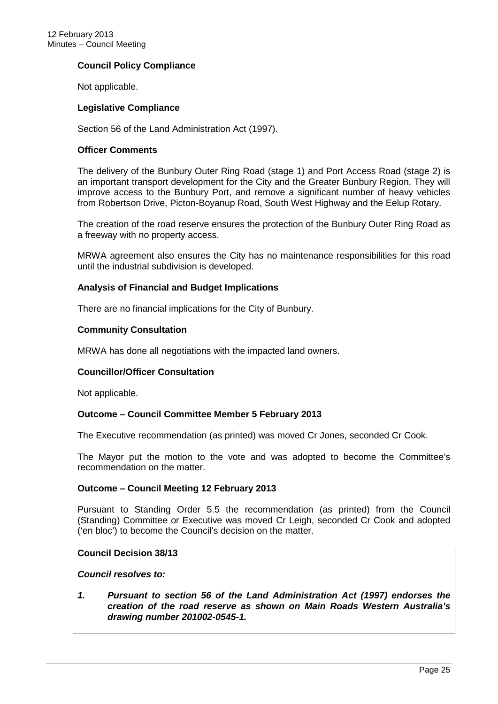#### **Council Policy Compliance**

Not applicable.

#### **Legislative Compliance**

Section 56 of the Land Administration Act (1997).

#### **Officer Comments**

The delivery of the Bunbury Outer Ring Road (stage 1) and Port Access Road (stage 2) is an important transport development for the City and the Greater Bunbury Region. They will improve access to the Bunbury Port, and remove a significant number of heavy vehicles from Robertson Drive, Picton-Boyanup Road, South West Highway and the Eelup Rotary.

The creation of the road reserve ensures the protection of the Bunbury Outer Ring Road as a freeway with no property access.

MRWA agreement also ensures the City has no maintenance responsibilities for this road until the industrial subdivision is developed.

#### **Analysis of Financial and Budget Implications**

There are no financial implications for the City of Bunbury.

#### **Community Consultation**

MRWA has done all negotiations with the impacted land owners.

#### **Councillor/Officer Consultation**

Not applicable.

#### **Outcome – Council Committee Member 5 February 2013**

The Executive recommendation (as printed) was moved Cr Jones, seconded Cr Cook.

The Mayor put the motion to the vote and was adopted to become the Committee's recommendation on the matter.

#### **Outcome – Council Meeting 12 February 2013**

Pursuant to Standing Order 5.5 the recommendation (as printed) from the Council (Standing) Committee or Executive was moved Cr Leigh, seconded Cr Cook and adopted ('en bloc') to become the Council's decision on the matter.

#### **Council Decision 38/13**

*Council resolves to:*

*1. Pursuant to section 56 of the Land Administration Act (1997) endorses the creation of the road reserve as shown on Main Roads Western Australia's drawing number 201002-0545-1.*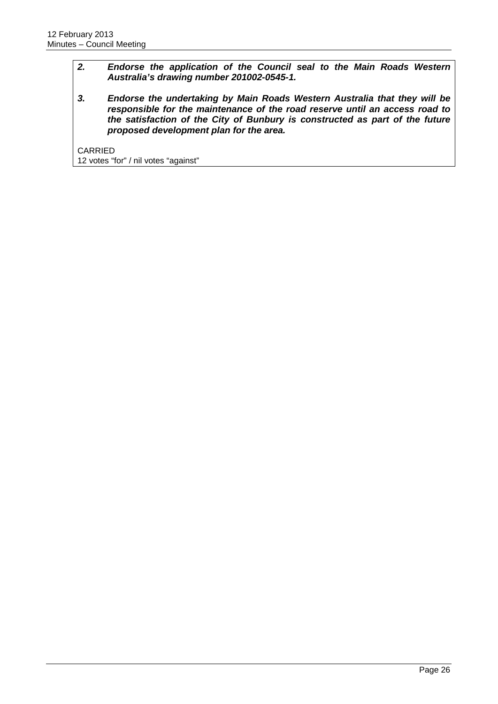#### *2. Endorse the application of the Council seal to the Main Roads Western Australia's drawing number 201002-0545-1.*

*3. Endorse the undertaking by Main Roads Western Australia that they will be responsible for the maintenance of the road reserve until an access road to the satisfaction of the City of Bunbury is constructed as part of the future proposed development plan for the area.*

CARRIED 12 votes "for" / nil votes "against"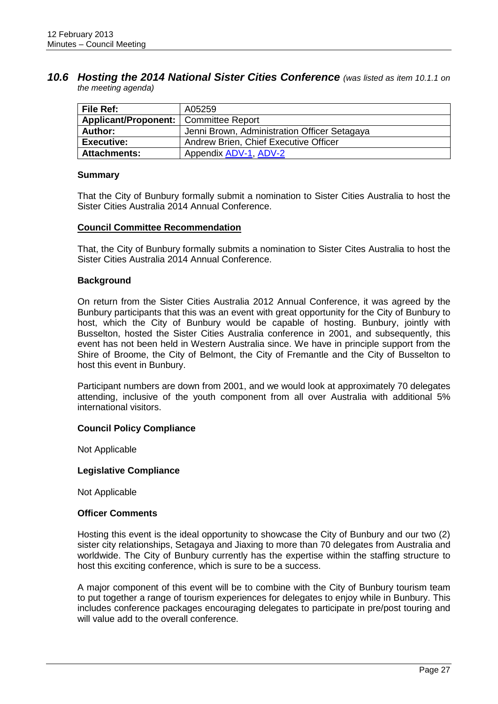#### <span id="page-31-0"></span>*10.6 Hosting the 2014 National Sister Cities Conference (was listed as item 10.1.1 on the meeting agenda)*

| File Ref:                               | A05259                                       |
|-----------------------------------------|----------------------------------------------|
| Applicant/Proponent:   Committee Report |                                              |
| Author:                                 | Jenni Brown, Administration Officer Setagaya |
| <b>Executive:</b>                       | Andrew Brien, Chief Executive Officer        |
| <b>Attachments:</b>                     | Appendix ADV-1, ADV-2                        |

#### **Summary**

That the City of Bunbury formally submit a nomination to Sister Cities Australia to host the Sister Cities Australia 2014 Annual Conference.

#### **Council Committee Recommendation**

That, the City of Bunbury formally submits a nomination to Sister Cites Australia to host the Sister Cities Australia 2014 Annual Conference.

#### **Background**

On return from the Sister Cities Australia 2012 Annual Conference, it was agreed by the Bunbury participants that this was an event with great opportunity for the City of Bunbury to host, which the City of Bunbury would be capable of hosting. Bunbury, jointly with Busselton, hosted the Sister Cities Australia conference in 2001, and subsequently, this event has not been held in Western Australia since. We have in principle support from the Shire of Broome, the City of Belmont, the City of Fremantle and the City of Busselton to host this event in Bunbury.

Participant numbers are down from 2001, and we would look at approximately 70 delegates attending, inclusive of the youth component from all over Australia with additional 5% international visitors.

#### **Council Policy Compliance**

Not Applicable

#### **Legislative Compliance**

Not Applicable

#### **Officer Comments**

Hosting this event is the ideal opportunity to showcase the City of Bunbury and our two (2) sister city relationships, Setagaya and Jiaxing to more than 70 delegates from Australia and worldwide. The City of Bunbury currently has the expertise within the staffing structure to host this exciting conference, which is sure to be a success.

A major component of this event will be to combine with the City of Bunbury tourism team to put together a range of tourism experiences for delegates to enjoy while in Bunbury. This includes conference packages encouraging delegates to participate in pre/post touring and will value add to the overall conference.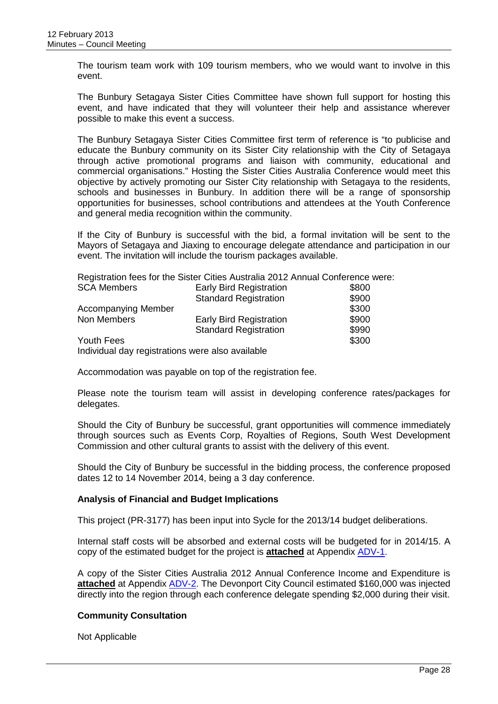The tourism team work with 109 tourism members, who we would want to involve in this event.

The Bunbury Setagaya Sister Cities Committee have shown full support for hosting this event, and have indicated that they will volunteer their help and assistance wherever possible to make this event a success.

The Bunbury Setagaya Sister Cities Committee first term of reference is "to publicise and educate the Bunbury community on its Sister City relationship with the City of Setagaya through active promotional programs and liaison with community, educational and commercial organisations." Hosting the Sister Cities Australia Conference would meet this objective by actively promoting our Sister City relationship with Setagaya to the residents, schools and businesses in Bunbury. In addition there will be a range of sponsorship opportunities for businesses, school contributions and attendees at the Youth Conference and general media recognition within the community.

If the City of Bunbury is successful with the bid, a formal invitation will be sent to the Mayors of Setagaya and Jiaxing to encourage delegate attendance and participation in our event. The invitation will include the tourism packages available.

Registration fees for the Sister Cities Australia 2012 Annual Conference were:

| <b>SCA Members</b>                               | <b>Early Bird Registration</b> | \$800 |
|--------------------------------------------------|--------------------------------|-------|
|                                                  | <b>Standard Registration</b>   | \$900 |
| <b>Accompanying Member</b>                       |                                | \$300 |
| Non Members                                      | <b>Early Bird Registration</b> | \$900 |
|                                                  | <b>Standard Registration</b>   | \$990 |
| <b>Youth Fees</b>                                |                                | \$300 |
| Individual day registrations were also available |                                |       |

Accommodation was payable on top of the registration fee.

Please note the tourism team will assist in developing conference rates/packages for delegates.

Should the City of Bunbury be successful, grant opportunities will commence immediately through sources such as Events Corp, Royalties of Regions, South West Development Commission and other cultural grants to assist with the delivery of this event.

Should the City of Bunbury be successful in the bidding process, the conference proposed dates 12 to 14 November 2014, being a 3 day conference.

#### **Analysis of Financial and Budget Implications**

This project (PR-3177) has been input into Sycle for the 2013/14 budget deliberations.

Internal staff costs will be absorbed and external costs will be budgeted for in 2014/15. A copy of the estimated budget for the project is **attached** at Appendix ADV-1.

A copy of the Sister Cities Australia 2012 Annual Conference Income and Expenditure is **attached** at Appendix ADV-2. The Devonport City Council estimated \$160,000 was injected directly into the region through each conference delegate spending \$2,000 during their visit.

#### **Community Consultation**

Not Applicable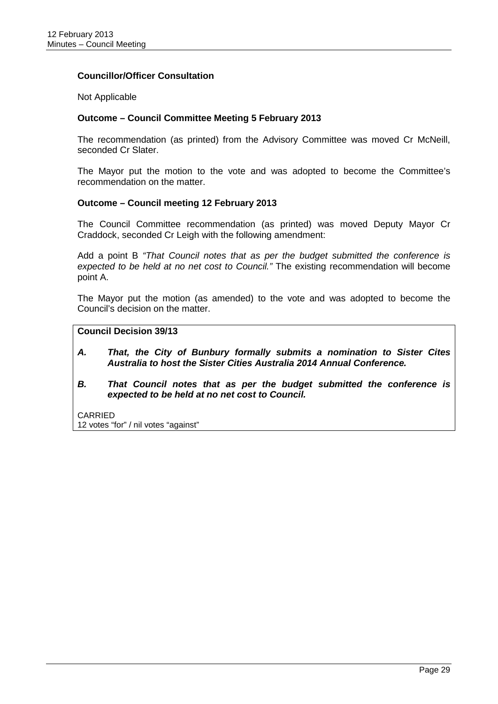#### **Councillor/Officer Consultation**

#### Not Applicable

#### **Outcome – Council Committee Meeting 5 February 2013**

The recommendation (as printed) from the Advisory Committee was moved Cr McNeill, seconded Cr Slater.

The Mayor put the motion to the vote and was adopted to become the Committee's recommendation on the matter.

#### **Outcome – Council meeting 12 February 2013**

The Council Committee recommendation (as printed) was moved Deputy Mayor Cr Craddock, seconded Cr Leigh with the following amendment:

Add a point B *"That Council notes that as per the budget submitted the conference is expected to be held at no net cost to Council."* The existing recommendation will become point A.

The Mayor put the motion (as amended) to the vote and was adopted to become the Council's decision on the matter.

#### **Council Decision 39/13**

- *A. That, the City of Bunbury formally submits a nomination to Sister Cites Australia to host the Sister Cities Australia 2014 Annual Conference.*
- *B. That Council notes that as per the budget submitted the conference is expected to be held at no net cost to Council.*

CARRIED

12 votes "for" / nil votes "against"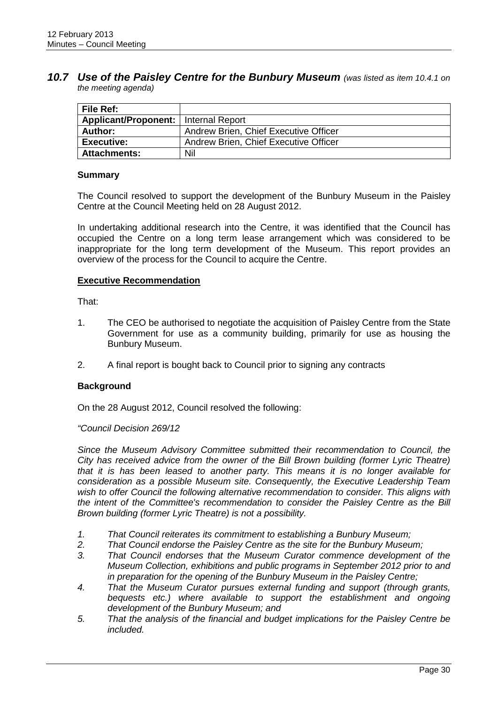#### <span id="page-34-0"></span>*10.7 Use of the Paisley Centre for the Bunbury Museum (was listed as item 10.4.1 on the meeting agenda)*

| <b>File Ref:</b>                              |                                       |
|-----------------------------------------------|---------------------------------------|
| <b>Applicant/Proponent:</b>   Internal Report |                                       |
| Author:                                       | Andrew Brien, Chief Executive Officer |
| <b>Executive:</b>                             | Andrew Brien, Chief Executive Officer |
| <b>Attachments:</b>                           | Nil                                   |

#### **Summary**

The Council resolved to support the development of the Bunbury Museum in the Paisley Centre at the Council Meeting held on 28 August 2012.

In undertaking additional research into the Centre, it was identified that the Council has occupied the Centre on a long term lease arrangement which was considered to be inappropriate for the long term development of the Museum. This report provides an overview of the process for the Council to acquire the Centre.

#### **Executive Recommendation**

That:

- 1. The CEO be authorised to negotiate the acquisition of Paisley Centre from the State Government for use as a community building, primarily for use as housing the Bunbury Museum.
- 2. A final report is bought back to Council prior to signing any contracts

#### **Background**

On the 28 August 2012, Council resolved the following:

#### *"Council Decision 269/12*

*Since the Museum Advisory Committee submitted their recommendation to Council, the City has received advice from the owner of the Bill Brown building (former Lyric Theatre) that it is has been leased to another party. This means it is no longer available for consideration as a possible Museum site. Consequently, the Executive Leadership Team wish to offer Council the following alternative recommendation to consider. This aligns with the intent of the Committee's recommendation to consider the Paisley Centre as the Bill Brown building (former Lyric Theatre) is not a possibility.*

- *1. That Council reiterates its commitment to establishing a Bunbury Museum;*
- *2. That Council endorse the Paisley Centre as the site for the Bunbury Museum;*
- *3. That Council endorses that the Museum Curator commence development of the Museum Collection, exhibitions and public programs in September 2012 prior to and in preparation for the opening of the Bunbury Museum in the Paisley Centre;*
- *4. That the Museum Curator pursues external funding and support (through grants, bequests etc.) where available to support the establishment and ongoing development of the Bunbury Museum; and*
- *5. That the analysis of the financial and budget implications for the Paisley Centre be included.*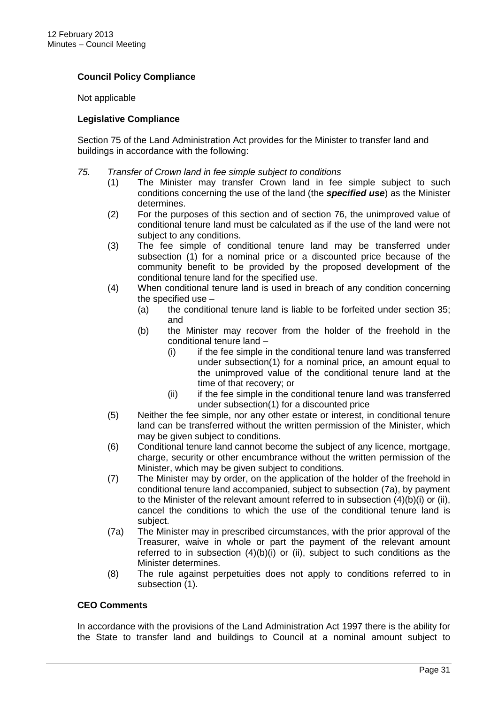### **Council Policy Compliance**

Not applicable

#### **Legislative Compliance**

Section 75 of the Land Administration Act provides for the Minister to transfer land and buildings in accordance with the following:

#### *75. Transfer of Crown land in fee simple subject to conditions*

- (1) The Minister may transfer Crown land in fee simple subject to such conditions concerning the use of the land (the *specified use*) as the Minister determines.
- (2) For the purposes of this section and of section 76, the unimproved value of conditional tenure land must be calculated as if the use of the land were not subject to any conditions.
- (3) The fee simple of conditional tenure land may be transferred under subsection (1) for a nominal price or a discounted price because of the community benefit to be provided by the proposed development of the conditional tenure land for the specified use.
- (4) When conditional tenure land is used in breach of any condition concerning the specified use –
	- (a) the conditional tenure land is liable to be forfeited under section 35; and
	- (b) the Minister may recover from the holder of the freehold in the conditional tenure land –
		- (i) if the fee simple in the conditional tenure land was transferred under subsection(1) for a nominal price, an amount equal to the unimproved value of the conditional tenure land at the time of that recovery; or
		- (ii) if the fee simple in the conditional tenure land was transferred under subsection(1) for a discounted price
- (5) Neither the fee simple, nor any other estate or interest, in conditional tenure land can be transferred without the written permission of the Minister, which may be given subject to conditions.
- (6) Conditional tenure land cannot become the subject of any licence, mortgage, charge, security or other encumbrance without the written permission of the Minister, which may be given subject to conditions.
- (7) The Minister may by order, on the application of the holder of the freehold in conditional tenure land accompanied, subject to subsection (7a), by payment to the Minister of the relevant amount referred to in subsection (4)(b)(i) or (ii), cancel the conditions to which the use of the conditional tenure land is subject.
- (7a) The Minister may in prescribed circumstances, with the prior approval of the Treasurer, waive in whole or part the payment of the relevant amount referred to in subsection (4)(b)(i) or (ii), subject to such conditions as the Minister determines.
- (8) The rule against perpetuities does not apply to conditions referred to in subsection (1).

#### **CEO Comments**

In accordance with the provisions of the Land Administration Act 1997 there is the ability for the State to transfer land and buildings to Council at a nominal amount subject to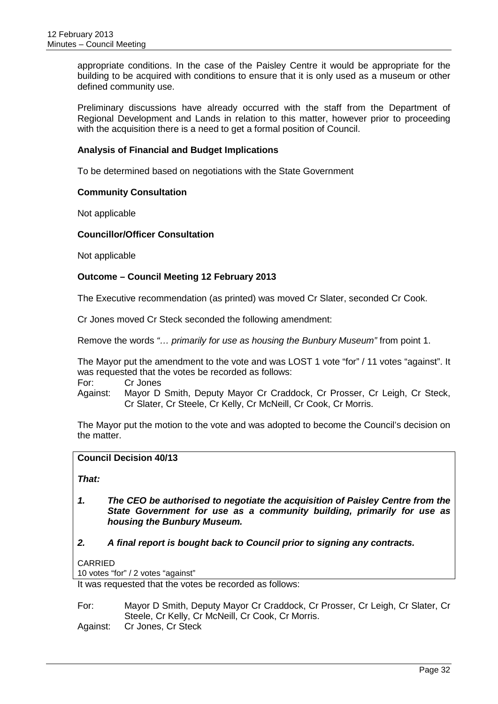appropriate conditions. In the case of the Paisley Centre it would be appropriate for the building to be acquired with conditions to ensure that it is only used as a museum or other defined community use.

Preliminary discussions have already occurred with the staff from the Department of Regional Development and Lands in relation to this matter, however prior to proceeding with the acquisition there is a need to get a formal position of Council.

#### **Analysis of Financial and Budget Implications**

To be determined based on negotiations with the State Government

#### **Community Consultation**

Not applicable

#### **Councillor/Officer Consultation**

Not applicable

#### **Outcome – Council Meeting 12 February 2013**

The Executive recommendation (as printed) was moved Cr Slater, seconded Cr Cook.

Cr Jones moved Cr Steck seconded the following amendment:

Remove the words *"… primarily for use as housing the Bunbury Museum"* from point 1.

The Mayor put the amendment to the vote and was LOST 1 vote "for" / 11 votes "against". It was requested that the votes be recorded as follows:

For: Cr Jones

Against: Mayor D Smith, Deputy Mayor Cr Craddock, Cr Prosser, Cr Leigh, Cr Steck, Cr Slater, Cr Steele, Cr Kelly, Cr McNeill, Cr Cook, Cr Morris.

The Mayor put the motion to the vote and was adopted to become the Council's decision on the matter.

#### **Council Decision 40/13**

*That:*

- *1. The CEO be authorised to negotiate the acquisition of Paisley Centre from the State Government for use as a community building, primarily for use as housing the Bunbury Museum.*
- *2. A final report is bought back to Council prior to signing any contracts.*

#### CARRIED

10 votes "for" / 2 votes "against"

It was requested that the votes be recorded as follows:

For: Mayor D Smith, Deputy Mayor Cr Craddock, Cr Prosser, Cr Leigh, Cr Slater, Cr Steele, Cr Kelly, Cr McNeill, Cr Cook, Cr Morris.

Against: Cr Jones, Cr Steck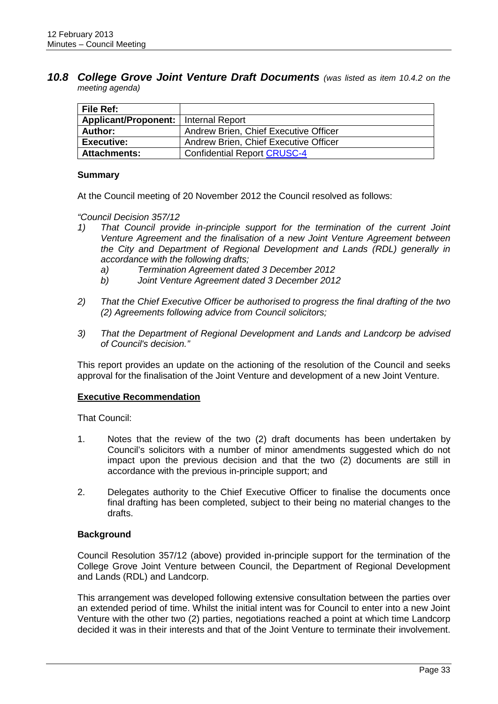<span id="page-37-0"></span>*10.8 College Grove Joint Venture Draft Documents (was listed as item 10.4.2 on the meeting agenda)*

| File Ref:            |                                       |
|----------------------|---------------------------------------|
| Applicant/Proponent: | Internal Report                       |
| <b>Author:</b>       | Andrew Brien, Chief Executive Officer |
| <b>Executive:</b>    | Andrew Brien, Chief Executive Officer |
| <b>Attachments:</b>  | <b>Confidential Report CRUSC-4</b>    |

#### **Summary**

At the Council meeting of 20 November 2012 the Council resolved as follows:

*"Council Decision 357/12*

- *1) That Council provide in-principle support for the termination of the current Joint Venture Agreement and the finalisation of a new Joint Venture Agreement between the City and Department of Regional Development and Lands (RDL) generally in accordance with the following drafts;*
	- *a) Termination Agreement dated 3 December 2012*
	- *b) Joint Venture Agreement dated 3 December 2012*
- *2) That the Chief Executive Officer be authorised to progress the final drafting of the two (2) Agreements following advice from Council solicitors;*
- *3) That the Department of Regional Development and Lands and Landcorp be advised of Council's decision."*

This report provides an update on the actioning of the resolution of the Council and seeks approval for the finalisation of the Joint Venture and development of a new Joint Venture.

#### **Executive Recommendation**

That Council:

- 1. Notes that the review of the two (2) draft documents has been undertaken by Council's solicitors with a number of minor amendments suggested which do not impact upon the previous decision and that the two (2) documents are still in accordance with the previous in-principle support; and
- 2. Delegates authority to the Chief Executive Officer to finalise the documents once final drafting has been completed, subject to their being no material changes to the drafts.

#### **Background**

Council Resolution 357/12 (above) provided in-principle support for the termination of the College Grove Joint Venture between Council, the Department of Regional Development and Lands (RDL) and Landcorp.

This arrangement was developed following extensive consultation between the parties over an extended period of time. Whilst the initial intent was for Council to enter into a new Joint Venture with the other two (2) parties, negotiations reached a point at which time Landcorp decided it was in their interests and that of the Joint Venture to terminate their involvement.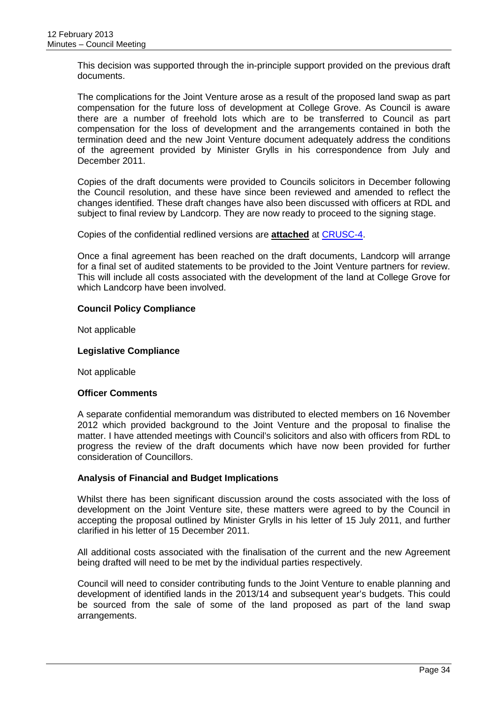This decision was supported through the in-principle support provided on the previous draft documents.

The complications for the Joint Venture arose as a result of the proposed land swap as part compensation for the future loss of development at College Grove. As Council is aware there are a number of freehold lots which are to be transferred to Council as part compensation for the loss of development and the arrangements contained in both the termination deed and the new Joint Venture document adequately address the conditions of the agreement provided by Minister Grylls in his correspondence from July and December 2011.

Copies of the draft documents were provided to Councils solicitors in December following the Council resolution, and these have since been reviewed and amended to reflect the changes identified. These draft changes have also been discussed with officers at RDL and subject to final review by Landcorp. They are now ready to proceed to the signing stage.

Copies of the confidential redlined versions are **attached** at CRUSC-4.

Once a final agreement has been reached on the draft documents, Landcorp will arrange for a final set of audited statements to be provided to the Joint Venture partners for review. This will include all costs associated with the development of the land at College Grove for which Landcorp have been involved.

#### **Council Policy Compliance**

Not applicable

#### **Legislative Compliance**

Not applicable

#### **Officer Comments**

A separate confidential memorandum was distributed to elected members on 16 November 2012 which provided background to the Joint Venture and the proposal to finalise the matter. I have attended meetings with Council's solicitors and also with officers from RDL to progress the review of the draft documents which have now been provided for further consideration of Councillors.

#### **Analysis of Financial and Budget Implications**

Whilst there has been significant discussion around the costs associated with the loss of development on the Joint Venture site, these matters were agreed to by the Council in accepting the proposal outlined by Minister Grylls in his letter of 15 July 2011, and further clarified in his letter of 15 December 2011.

All additional costs associated with the finalisation of the current and the new Agreement being drafted will need to be met by the individual parties respectively.

Council will need to consider contributing funds to the Joint Venture to enable planning and development of identified lands in the 2013/14 and subsequent year's budgets. This could be sourced from the sale of some of the land proposed as part of the land swap arrangements.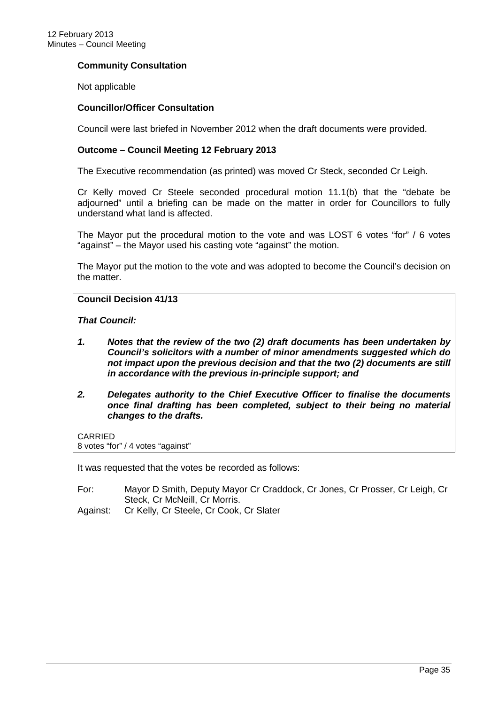#### **Community Consultation**

Not applicable

#### **Councillor/Officer Consultation**

Council were last briefed in November 2012 when the draft documents were provided.

#### **Outcome – Council Meeting 12 February 2013**

The Executive recommendation (as printed) was moved Cr Steck, seconded Cr Leigh.

Cr Kelly moved Cr Steele seconded procedural motion 11.1(b) that the "debate be adjourned" until a briefing can be made on the matter in order for Councillors to fully understand what land is affected.

The Mayor put the procedural motion to the vote and was LOST 6 votes "for" / 6 votes "against" – the Mayor used his casting vote "against" the motion.

The Mayor put the motion to the vote and was adopted to become the Council's decision on the matter.

#### **Council Decision 41/13**

*That Council:*

- *1. Notes that the review of the two (2) draft documents has been undertaken by Council's solicitors with a number of minor amendments suggested which do not impact upon the previous decision and that the two (2) documents are still in accordance with the previous in-principle support; and*
- *2. Delegates authority to the Chief Executive Officer to finalise the documents once final drafting has been completed, subject to their being no material changes to the drafts.*

CARRIED

8 votes "for" / 4 votes "against"

It was requested that the votes be recorded as follows:

For: Mayor D Smith, Deputy Mayor Cr Craddock, Cr Jones, Cr Prosser, Cr Leigh, Cr Steck, Cr McNeill, Cr Morris.

Against: Cr Kelly, Cr Steele, Cr Cook, Cr Slater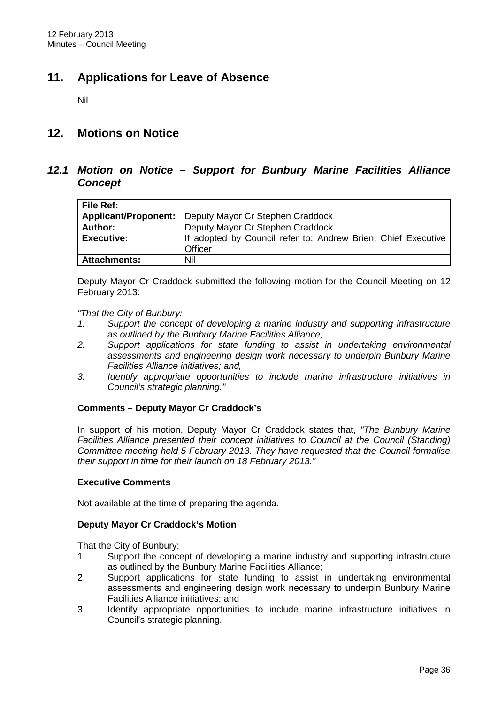# <span id="page-40-0"></span>**11. Applications for Leave of Absence**

Nil

## <span id="page-40-1"></span>**12. Motions on Notice**

### <span id="page-40-2"></span>*12.1 Motion on Notice – Support for Bunbury Marine Facilities Alliance Concept*

| <b>File Ref:</b>            |                                                               |
|-----------------------------|---------------------------------------------------------------|
| <b>Applicant/Proponent:</b> | Deputy Mayor Cr Stephen Craddock                              |
| Author:                     | Deputy Mayor Cr Stephen Craddock                              |
| Executive:                  | If adopted by Council refer to: Andrew Brien, Chief Executive |
|                             | Officer                                                       |
| <b>Attachments:</b>         | Nil                                                           |

Deputy Mayor Cr Craddock submitted the following motion for the Council Meeting on 12 February 2013:

#### *"That the City of Bunbury:*

- *1. Support the concept of developing a marine industry and supporting infrastructure as outlined by the Bunbury Marine Facilities Alliance;*
- *2. Support applications for state funding to assist in undertaking environmental assessments and engineering design work necessary to underpin Bunbury Marine Facilities Alliance initiatives; and,*
- *3. Identify appropriate opportunities to include marine infrastructure initiatives in Council's strategic planning."*

#### **Comments – Deputy Mayor Cr Craddock's**

In support of his motion, Deputy Mayor Cr Craddock states that, *"The Bunbury Marine*  Facilities Alliance presented their concept initiatives to Council at the Council (Standing) *Committee meeting held 5 February 2013. They have requested that the Council formalise their support in time for their launch on 18 February 2013."*

#### **Executive Comments**

Not available at the time of preparing the agenda.

#### **Deputy Mayor Cr Craddock's Motion**

That the City of Bunbury:

- 1. Support the concept of developing a marine industry and supporting infrastructure as outlined by the Bunbury Marine Facilities Alliance;
- 2. Support applications for state funding to assist in undertaking environmental assessments and engineering design work necessary to underpin Bunbury Marine Facilities Alliance initiatives; and
- 3. Identify appropriate opportunities to include marine infrastructure initiatives in Council's strategic planning.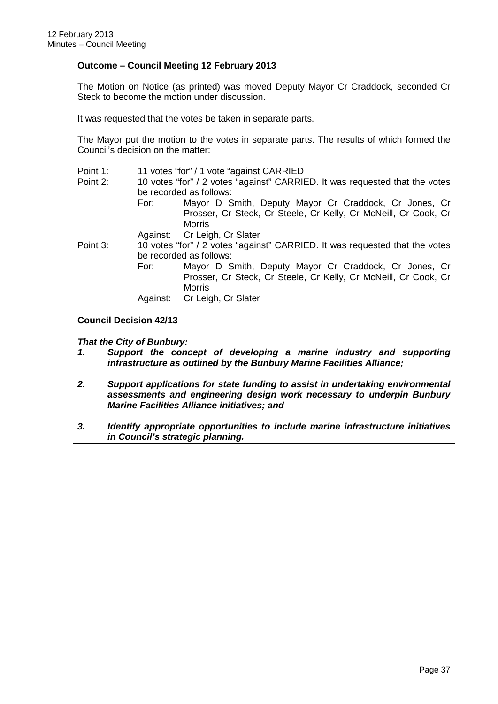#### **Outcome – Council Meeting 12 February 2013**

The Motion on Notice (as printed) was moved Deputy Mayor Cr Craddock, seconded Cr Steck to become the motion under discussion.

It was requested that the votes be taken in separate parts.

The Mayor put the motion to the votes in separate parts. The results of which formed the Council's decision on the matter:

- Point 1: 11 votes "for" / 1 vote "against CARRIED
- Point 2: 10 votes "for" / 2 votes "against" CARRIED. It was requested that the votes be recorded as follows:
	- For: Mayor D Smith, Deputy Mayor Cr Craddock, Cr Jones, Cr Prosser, Cr Steck, Cr Steele, Cr Kelly, Cr McNeill, Cr Cook, Cr Morris

Against: Cr Leigh, Cr Slater

Point 3: 10 votes "for" / 2 votes "against" CARRIED. It was requested that the votes be recorded as follows:

For: Mayor D Smith, Deputy Mayor Cr Craddock, Cr Jones, Cr Prosser, Cr Steck, Cr Steele, Cr Kelly, Cr McNeill, Cr Cook, Cr Morris

Against: Cr Leigh, Cr Slater

#### **Council Decision 42/13**

*That the City of Bunbury:*

- *1. Support the concept of developing a marine industry and supporting infrastructure as outlined by the Bunbury Marine Facilities Alliance;*
- *2. Support applications for state funding to assist in undertaking environmental assessments and engineering design work necessary to underpin Bunbury Marine Facilities Alliance initiatives; and*
- *3. Identify appropriate opportunities to include marine infrastructure initiatives in Council's strategic planning.*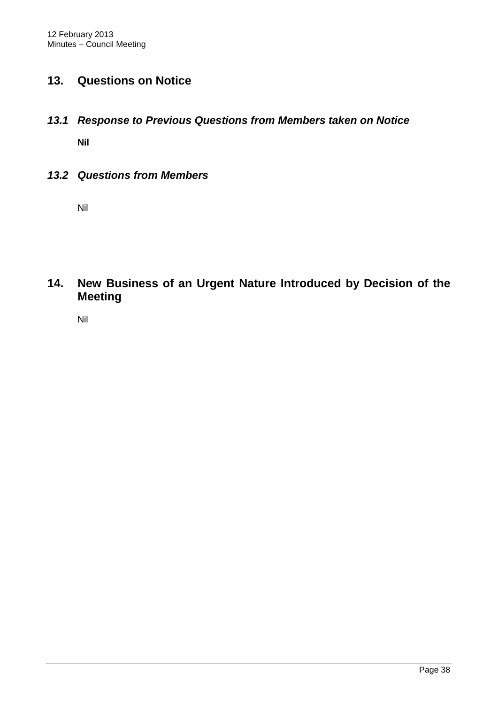# <span id="page-42-0"></span>**13. Questions on Notice**

<span id="page-42-1"></span>*13.1 Response to Previous Questions from Members taken on Notice*

**Nil**

<span id="page-42-2"></span>*13.2 Questions from Members*

Nil

<span id="page-42-3"></span>**14. New Business of an Urgent Nature Introduced by Decision of the Meeting**

Nil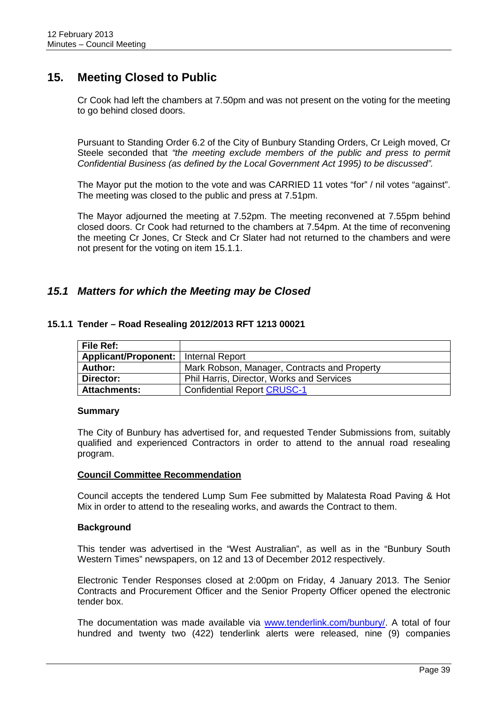# <span id="page-43-0"></span>**15. Meeting Closed to Public**

Cr Cook had left the chambers at 7.50pm and was not present on the voting for the meeting to go behind closed doors.

Pursuant to Standing Order 6.2 of the City of Bunbury Standing Orders, Cr Leigh moved, Cr Steele seconded that *"the meeting exclude members of the public and press to permit Confidential Business (as defined by the Local Government Act 1995) to be discussed".*

The Mayor put the motion to the vote and was CARRIED 11 votes "for" / nil votes "against". The meeting was closed to the public and press at 7.51pm.

The Mayor adjourned the meeting at 7.52pm. The meeting reconvened at 7.55pm behind closed doors. Cr Cook had returned to the chambers at 7.54pm. At the time of reconvening the meeting Cr Jones, Cr Steck and Cr Slater had not returned to the chambers and were not present for the voting on item 15.1.1.

### <span id="page-43-1"></span>*15.1 Matters for which the Meeting may be Closed*

#### **File Ref:** Applicant/Proponent: | Internal Report Author: Mark Robson, Manager, Contracts and Property **Director:** Phil Harris, Director, Works and Services Attachments: **Confidential Report CRUSC-1**

#### <span id="page-43-2"></span>**15.1.1 Tender – Road Resealing 2012/2013 RFT 1213 00021**

#### **Summary**

The City of Bunbury has advertised for, and requested Tender Submissions from, suitably qualified and experienced Contractors in order to attend to the annual road resealing program.

#### **Council Committee Recommendation**

Council accepts the tendered Lump Sum Fee submitted by Malatesta Road Paving & Hot Mix in order to attend to the resealing works, and awards the Contract to them.

#### **Background**

This tender was advertised in the "West Australian", as well as in the "Bunbury South Western Times" newspapers, on 12 and 13 of December 2012 respectively.

Electronic Tender Responses closed at 2:00pm on Friday, 4 January 2013. The Senior Contracts and Procurement Officer and the Senior Property Officer opened the electronic tender box.

The documentation was made available via [www.tenderlink.com/bunbury/.](http://www.tenderlink.com/bunbury/) A total of four hundred and twenty two (422) tenderlink alerts were released, nine (9) companies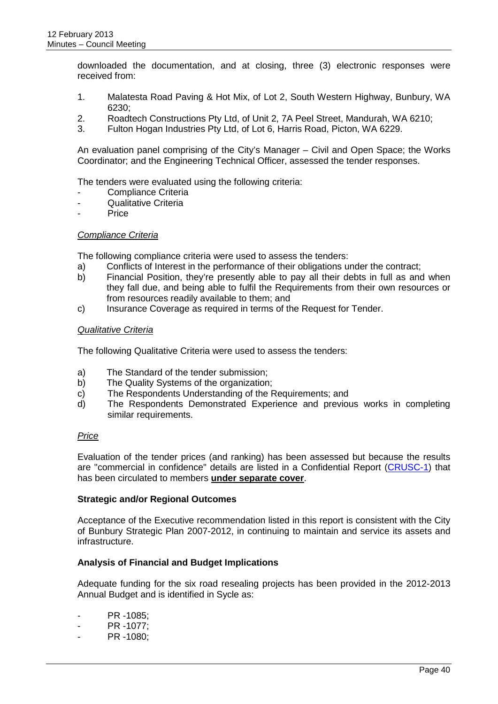downloaded the documentation, and at closing, three (3) electronic responses were received from:

- 1. Malatesta Road Paving & Hot Mix, of Lot 2, South Western Highway, Bunbury, WA  $6230<sup>1</sup>$
- 2. Roadtech Constructions Pty Ltd, of Unit 2, 7A Peel Street, Mandurah, WA 6210;
- 3. Fulton Hogan Industries Pty Ltd, of Lot 6, Harris Road, Picton, WA 6229.

An evaluation panel comprising of the City's Manager – Civil and Open Space; the Works Coordinator; and the Engineering Technical Officer, assessed the tender responses.

The tenders were evaluated using the following criteria:

- Compliance Criteria
- Qualitative Criteria
- Price

#### *Compliance Criteria*

The following compliance criteria were used to assess the tenders:

- a) Conflicts of Interest in the performance of their obligations under the contract;
- b) Financial Position, they're presently able to pay all their debts in full as and when they fall due, and being able to fulfil the Requirements from their own resources or from resources readily available to them; and
- c) Insurance Coverage as required in terms of the Request for Tender.

#### *Qualitative Criteria*

The following Qualitative Criteria were used to assess the tenders:

- a) The Standard of the tender submission;
- b) The Quality Systems of the organization;
- c) The Respondents Understanding of the Requirements; and
- d) The Respondents Demonstrated Experience and previous works in completing similar requirements.

#### *Price*

Evaluation of the tender prices (and ranking) has been assessed but because the results are "commercial in confidence" details are listed in a Confidential Report (CRUSC-1) that has been circulated to members **under separate cover**.

#### **Strategic and/or Regional Outcomes**

Acceptance of the Executive recommendation listed in this report is consistent with the City of Bunbury Strategic Plan 2007-2012, in continuing to maintain and service its assets and infrastructure.

#### **Analysis of Financial and Budget Implications**

Adequate funding for the six road resealing projects has been provided in the 2012-2013 Annual Budget and is identified in Sycle as:

- PR 1085;
- PR -1077;
- PR -1080;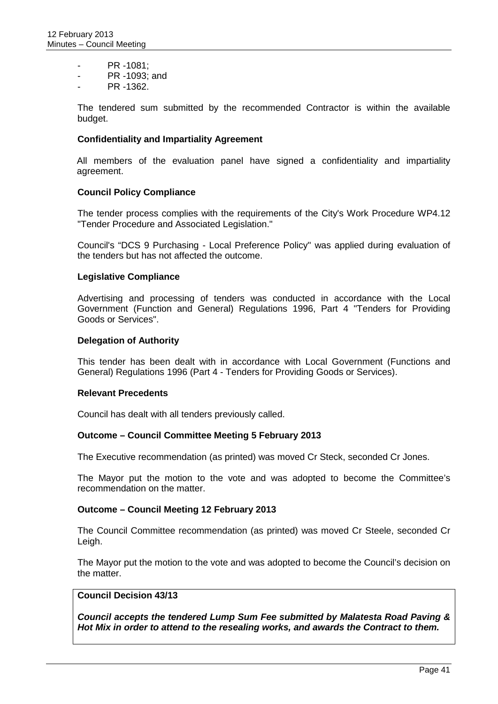- PR 1081;
- PR -1093; and
- PR -1362.

The tendered sum submitted by the recommended Contractor is within the available budget.

#### **Confidentiality and Impartiality Agreement**

All members of the evaluation panel have signed a confidentiality and impartiality agreement.

#### **Council Policy Compliance**

The tender process complies with the requirements of the City's Work Procedure WP4.12 "Tender Procedure and Associated Legislation."

Council's "DCS 9 Purchasing - Local Preference Policy" was applied during evaluation of the tenders but has not affected the outcome.

#### **Legislative Compliance**

Advertising and processing of tenders was conducted in accordance with the Local Government (Function and General) Regulations 1996, Part 4 "Tenders for Providing Goods or Services".

#### **Delegation of Authority**

This tender has been dealt with in accordance with Local Government (Functions and General) Regulations 1996 (Part 4 - Tenders for Providing Goods or Services).

#### **Relevant Precedents**

Council has dealt with all tenders previously called.

#### **Outcome – Council Committee Meeting 5 February 2013**

The Executive recommendation (as printed) was moved Cr Steck, seconded Cr Jones.

The Mayor put the motion to the vote and was adopted to become the Committee's recommendation on the matter.

#### **Outcome – Council Meeting 12 February 2013**

The Council Committee recommendation (as printed) was moved Cr Steele, seconded Cr Leigh.

The Mayor put the motion to the vote and was adopted to become the Council's decision on the matter.

#### **Council Decision 43/13**

*Council accepts the tendered Lump Sum Fee submitted by Malatesta Road Paving & Hot Mix in order to attend to the resealing works, and awards the Contract to them.*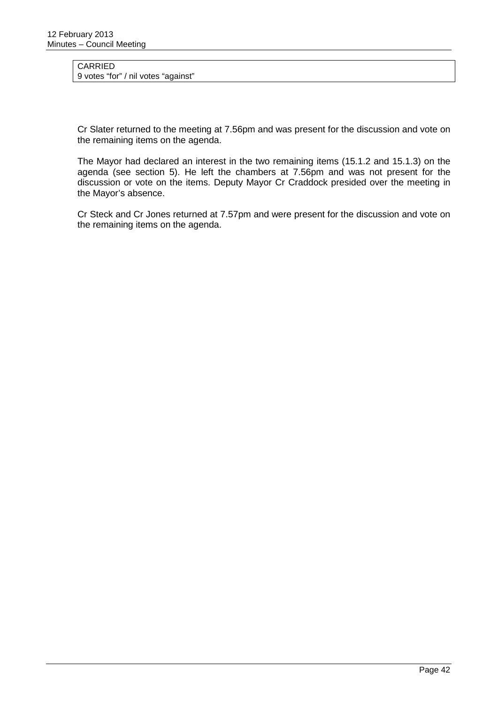#### CARRIED 9 votes "for" / nil votes "against"

Cr Slater returned to the meeting at 7.56pm and was present for the discussion and vote on the remaining items on the agenda.

The Mayor had declared an interest in the two remaining items (15.1.2 and 15.1.3) on the agenda (see section 5). He left the chambers at 7.56pm and was not present for the discussion or vote on the items. Deputy Mayor Cr Craddock presided over the meeting in the Mayor's absence.

Cr Steck and Cr Jones returned at 7.57pm and were present for the discussion and vote on the remaining items on the agenda.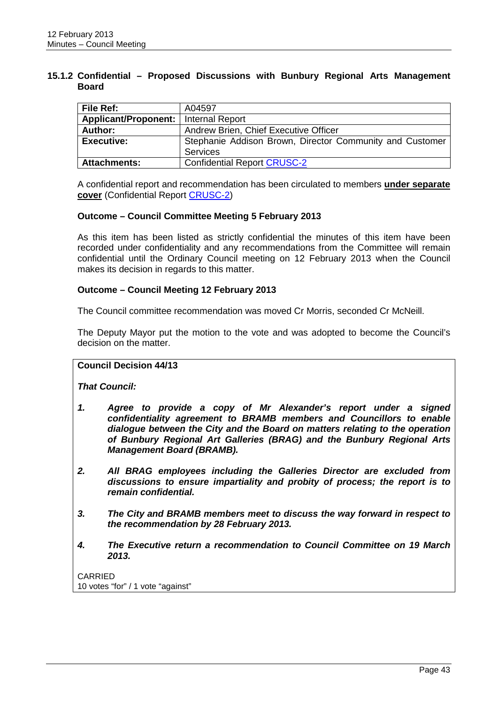#### <span id="page-47-0"></span>**15.1.2 Confidential – Proposed Discussions with Bunbury Regional Arts Management Board**

| File Ref:                              | A04597                                                   |  |  |
|----------------------------------------|----------------------------------------------------------|--|--|
| Applicant/Proponent:   Internal Report |                                                          |  |  |
| Author:                                | Andrew Brien, Chief Executive Officer                    |  |  |
| <b>Executive:</b>                      | Stephanie Addison Brown, Director Community and Customer |  |  |
|                                        | <b>Services</b>                                          |  |  |
| <b>Attachments:</b>                    | <b>Confidential Report CRUSC-2</b>                       |  |  |

A confidential report and recommendation has been circulated to members **under separate cover** (Confidential Report CRUSC-2)

#### **Outcome – Council Committee Meeting 5 February 2013**

As this item has been listed as strictly confidential the minutes of this item have been recorded under confidentiality and any recommendations from the Committee will remain confidential until the Ordinary Council meeting on 12 February 2013 when the Council makes its decision in regards to this matter.

#### **Outcome – Council Meeting 12 February 2013**

The Council committee recommendation was moved Cr Morris, seconded Cr McNeill.

The Deputy Mayor put the motion to the vote and was adopted to become the Council's decision on the matter.

#### **Council Decision 44/13**

*That Council:*

- *1. Agree to provide a copy of Mr Alexander's report under a signed confidentiality agreement to BRAMB members and Councillors to enable dialogue between the City and the Board on matters relating to the operation of Bunbury Regional Art Galleries (BRAG) and the Bunbury Regional Arts Management Board (BRAMB).*
- *2. All BRAG employees including the Galleries Director are excluded from discussions to ensure impartiality and probity of process; the report is to remain confidential.*
- *3. The City and BRAMB members meet to discuss the way forward in respect to the recommendation by 28 February 2013.*
- *4. The Executive return a recommendation to Council Committee on 19 March 2013.*

CARRIED 10 votes "for" / 1 vote "against"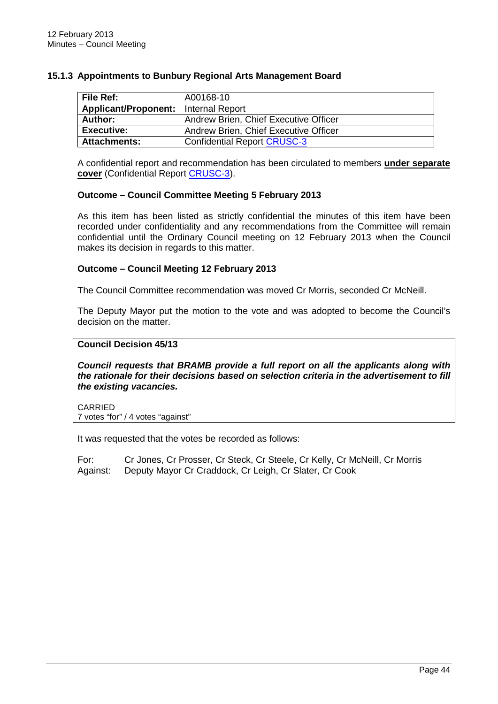<span id="page-48-0"></span>

| 15.1.3 Appointments to Bunbury Regional Arts Management Board |  |  |  |  |  |  |  |
|---------------------------------------------------------------|--|--|--|--|--|--|--|
|---------------------------------------------------------------|--|--|--|--|--|--|--|

| File Ref:            | A00168-10                             |
|----------------------|---------------------------------------|
| Applicant/Proponent: | Internal Report                       |
| Author:              | Andrew Brien, Chief Executive Officer |
| <b>Executive:</b>    | Andrew Brien, Chief Executive Officer |
| <b>Attachments:</b>  | <b>Confidential Report CRUSC-3</b>    |

A confidential report and recommendation has been circulated to members **under separate cover** (Confidential Report CRUSC-3).

#### **Outcome – Council Committee Meeting 5 February 2013**

As this item has been listed as strictly confidential the minutes of this item have been recorded under confidentiality and any recommendations from the Committee will remain confidential until the Ordinary Council meeting on 12 February 2013 when the Council makes its decision in regards to this matter.

#### **Outcome – Council Meeting 12 February 2013**

The Council Committee recommendation was moved Cr Morris, seconded Cr McNeill.

The Deputy Mayor put the motion to the vote and was adopted to become the Council's decision on the matter.

#### **Council Decision 45/13**

*Council requests that BRAMB provide a full report on all the applicants along with the rationale for their decisions based on selection criteria in the advertisement to fill the existing vacancies.*

CARRIED 7 votes "for" / 4 votes "against"

It was requested that the votes be recorded as follows:

For: Cr Jones, Cr Prosser, Cr Steck, Cr Steele, Cr Kelly, Cr McNeill, Cr Morris Against: Deputy Mayor Cr Craddock, Cr Leigh, Cr Slater, Cr Cook